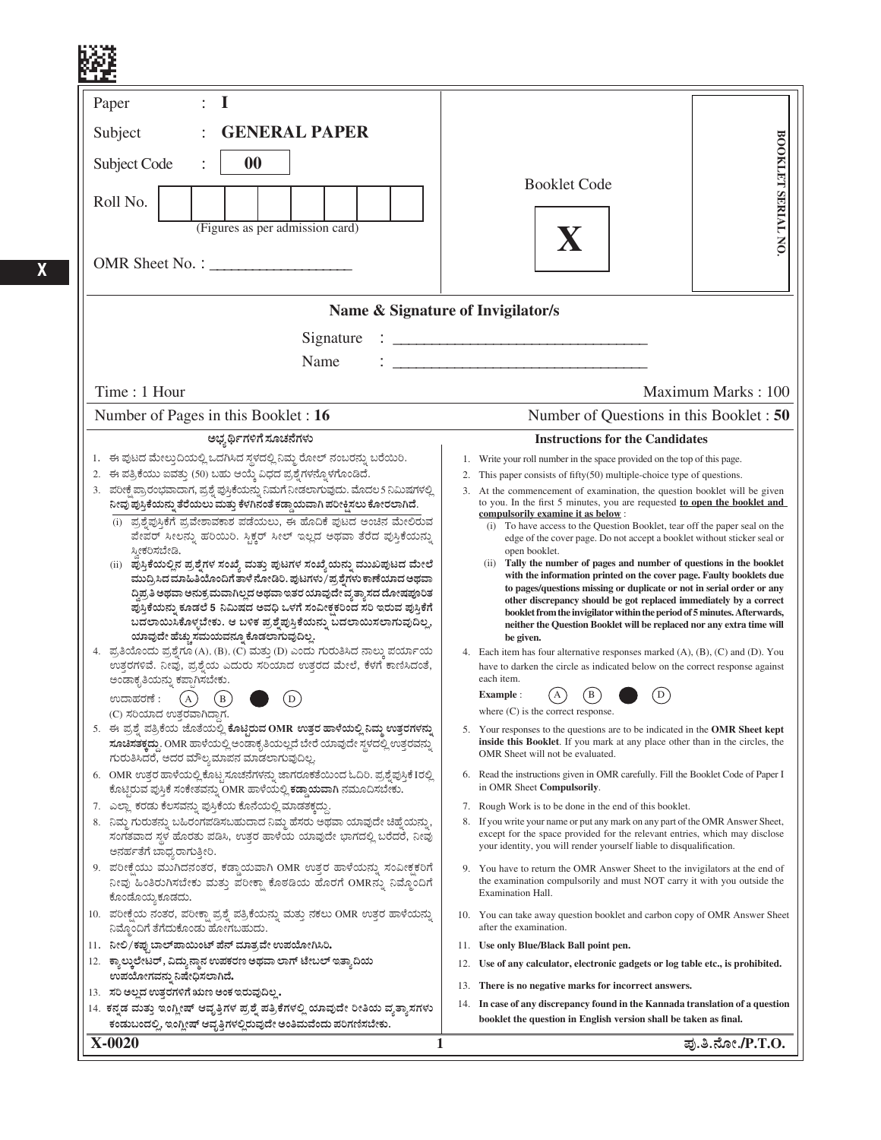| $\bf{I}$<br>Paper<br><b>GENERAL PAPER</b><br>Subject<br>00<br>Subject Code<br>Roll No.<br>(Figures as per admission card)                                                                                                                                                                                                                                                                                                                                                                                                                                                                                                                                                                                                                                                                                                                                                                                                                                                                                                                                                                                                                                                                                                                                                                                                                                                                                                                                                                                                                                                                                                                                                                                                                                                                                                                                                                                                                                                                                                   | BOOKLET SERIAL NO<br><b>Booklet Code</b>                                                                                                                                                                                                                                                                                                                                                                                                                                                                                                                                                                                                                                                                                                                                                                                                                                                                                                                                                                                                                                                                                                                                                                                                                                                                                                                                                                                                                                                                                                                                                                                                                                                                                                                                                                                                                                                                                                                                                                                                                                                                   |
|-----------------------------------------------------------------------------------------------------------------------------------------------------------------------------------------------------------------------------------------------------------------------------------------------------------------------------------------------------------------------------------------------------------------------------------------------------------------------------------------------------------------------------------------------------------------------------------------------------------------------------------------------------------------------------------------------------------------------------------------------------------------------------------------------------------------------------------------------------------------------------------------------------------------------------------------------------------------------------------------------------------------------------------------------------------------------------------------------------------------------------------------------------------------------------------------------------------------------------------------------------------------------------------------------------------------------------------------------------------------------------------------------------------------------------------------------------------------------------------------------------------------------------------------------------------------------------------------------------------------------------------------------------------------------------------------------------------------------------------------------------------------------------------------------------------------------------------------------------------------------------------------------------------------------------------------------------------------------------------------------------------------------------|------------------------------------------------------------------------------------------------------------------------------------------------------------------------------------------------------------------------------------------------------------------------------------------------------------------------------------------------------------------------------------------------------------------------------------------------------------------------------------------------------------------------------------------------------------------------------------------------------------------------------------------------------------------------------------------------------------------------------------------------------------------------------------------------------------------------------------------------------------------------------------------------------------------------------------------------------------------------------------------------------------------------------------------------------------------------------------------------------------------------------------------------------------------------------------------------------------------------------------------------------------------------------------------------------------------------------------------------------------------------------------------------------------------------------------------------------------------------------------------------------------------------------------------------------------------------------------------------------------------------------------------------------------------------------------------------------------------------------------------------------------------------------------------------------------------------------------------------------------------------------------------------------------------------------------------------------------------------------------------------------------------------------------------------------------------------------------------------------------|
|                                                                                                                                                                                                                                                                                                                                                                                                                                                                                                                                                                                                                                                                                                                                                                                                                                                                                                                                                                                                                                                                                                                                                                                                                                                                                                                                                                                                                                                                                                                                                                                                                                                                                                                                                                                                                                                                                                                                                                                                                             | Name & Signature of Invigilator/s                                                                                                                                                                                                                                                                                                                                                                                                                                                                                                                                                                                                                                                                                                                                                                                                                                                                                                                                                                                                                                                                                                                                                                                                                                                                                                                                                                                                                                                                                                                                                                                                                                                                                                                                                                                                                                                                                                                                                                                                                                                                          |
| Signature<br>Name                                                                                                                                                                                                                                                                                                                                                                                                                                                                                                                                                                                                                                                                                                                                                                                                                                                                                                                                                                                                                                                                                                                                                                                                                                                                                                                                                                                                                                                                                                                                                                                                                                                                                                                                                                                                                                                                                                                                                                                                           |                                                                                                                                                                                                                                                                                                                                                                                                                                                                                                                                                                                                                                                                                                                                                                                                                                                                                                                                                                                                                                                                                                                                                                                                                                                                                                                                                                                                                                                                                                                                                                                                                                                                                                                                                                                                                                                                                                                                                                                                                                                                                                            |
| Time: 1 Hour                                                                                                                                                                                                                                                                                                                                                                                                                                                                                                                                                                                                                                                                                                                                                                                                                                                                                                                                                                                                                                                                                                                                                                                                                                                                                                                                                                                                                                                                                                                                                                                                                                                                                                                                                                                                                                                                                                                                                                                                                | Maximum Marks: 100                                                                                                                                                                                                                                                                                                                                                                                                                                                                                                                                                                                                                                                                                                                                                                                                                                                                                                                                                                                                                                                                                                                                                                                                                                                                                                                                                                                                                                                                                                                                                                                                                                                                                                                                                                                                                                                                                                                                                                                                                                                                                         |
| Number of Pages in this Booklet : 16                                                                                                                                                                                                                                                                                                                                                                                                                                                                                                                                                                                                                                                                                                                                                                                                                                                                                                                                                                                                                                                                                                                                                                                                                                                                                                                                                                                                                                                                                                                                                                                                                                                                                                                                                                                                                                                                                                                                                                                        | Number of Questions in this Booklet : 50                                                                                                                                                                                                                                                                                                                                                                                                                                                                                                                                                                                                                                                                                                                                                                                                                                                                                                                                                                                                                                                                                                                                                                                                                                                                                                                                                                                                                                                                                                                                                                                                                                                                                                                                                                                                                                                                                                                                                                                                                                                                   |
| ಅಭ್ಯರ್ಥಿಗಳಿಗೆ ಸೂಚನೆಗಳು<br>1. ಈ ಪುಟದ ಮೇಲ್ತುದಿಯಲ್ಲಿ ಒದಗಿಸಿದ ಸ್ಥಳದಲ್ಲಿ ನಿಮ್ಮ ರೋಲ್ ನಂಬರನ್ನು ಬರೆಯಿರಿ.<br>2. ಈ ಪತ್ರಿಕೆಯು ಐವತ್ತು (50) ಬಹು ಆಯ್ತೆ ವಿಧದ ಪ್ರಶೈಗಳನ್ನೊಳಗೊಂಡಿದೆ.<br>3. ಪರೀಕ್ಷೆ ಪ್ರಾರಂಭವಾದಾಗ, ಪ್ರಶ್ನೆ ಪುಸ್ತಿಕೆಯನ್ನು ನಿಮಗೆ ನೀಡಲಾಗುವುದು. ಮೊದಲ5 ನಿಮಿಷಗಳಲ್ಲಿ<br>ನೀವು ಪುಸ್ತಿಕೆಯನ್ನು ತೆರೆಯಲು ಮತ್ತು ಕೆಳಗಿನಂತೆ ಕಡ್ಡಾಯವಾಗಿ ಪರೀಕ್ಷಿಸಲು ಕೋರಲಾಗಿದೆ.<br>(i) ಪ್ರಶೈಪುಸ್ತಿಕೆಗೆ ಪ್ರವೇಶಾವಕಾಶ ಪಡೆಯಲು, ಈ ಹೊದಿಕೆ ಪುಟದ ಅಂಚಿನ ಮೇಲಿರುವ<br>ಪೇಪರ್ ಸೀಲನ್ನು ಹರಿಯಿರಿ. ಸ್ಟಿಕ್ಚರ್ ಸೀಲ್ ಇಲ್ಲದ ಅಥವಾ ತೆರೆದ ಪುಸ್ತಿಕೆಯನ್ನು<br>ಸ್ತೀಕರಿಸಬೇಡಿ.<br>(ii) ಪುಸ್ತಿಕೆಯಲ್ಲಿನ ಪ್ರಶ್ನೆಗಳ ಸಂಖ್ಯೆ ಮತ್ತು ಪುಟಗಳ ಸಂಖ್ಯೆಯನ್ನು ಮುಖಪುಟದ ಮೇಲೆ<br>ಮುದ್ರಿಸಿದ ಮಾಹಿತಿಯೊಂದಿಗೆ ತಾಳೆ ನೋಡಿರಿ. ಪುಟಗಳು / ಪ್ರಶ್ನೆಗಳು ಕಾಣೆಯಾದ ಅಥವಾ<br>ದ್ಧಿಪ್ರತಿ ಅಥವಾ ಅನುಕ್ರಮವಾಗಿಲ್ಲದ ಅಥವಾ ಇತರ ಯಾವುದೇ ವ್ಯತ್ಯಾಸದ ದೋಷಪೂರಿತ<br>ಪ್ರಸ್ತಿಕೆಯನ್ನು ಕೂಡಲೆ 5 ನಿಮಿಷದ ಅವಧಿ ಒಳಗೆ ಸಂವೀಕ್ಷಕರಿಂದ ಸರಿ ಇರುವ ಪುಸ್ತಿಕೆಗೆ<br>ಬದಲಾಯಿಸಿಕೊಳ್ಳಬೇಕು. ಆ ಬಳಿಕ ಪ್ರಶ್ನೆಪುಸ್ತಿಕೆಯನ್ನು ಬದಲಾಯಿಸಲಾಗುವುದಿಲ್ಲ,<br>ಯಾವುದೇ ಹೆಚ್ಚು ಸಮಯವನ್ನೂ ಕೊಡಲಾಗುವುದಿಲ್ಲ.<br>4. ಪ್ರತಿಯೊಂದು ಪ್ರಶ್ನೆಗೂ (A), (B), (C) ಮತ್ತು (D) ಎಂದು ಗುರುತಿಸಿದ ನಾಲ್ಕು ಪರ್ಯಾಯ<br>ಉತ್ತರಗಳಿವೆ. ನೀವು, ಪ್ರಶ್ನೆಯ ಎದುರು ಸರಿಯಾದ ಉತ್ತರದ ಮೇಲೆ, ಕೆಳಗೆ ಕಾಣಿಸಿದಂತೆ,<br>ಅಂಡಾಕೃತಿಯನ್ನು ಕಪ್ಪಾಗಿಸಬೇಕು.<br>(A)<br>$\left( \text{D}\right)$<br>(B)<br>ಉದಾಹರಣೆ :<br>(C) ಸರಿಯಾದ ಉತ್ತರವಾಗಿದ್ದಾಗ.<br>5. ಈ ಪ್ರಶ್ನೆ ಪತ್ರಿಕೆಯ ಜೊತೆಯಲ್ಲಿ ಕೊಟ್ಟಿರುವ OMR ಉತ್ತರ ಹಾಳೆಯಲ್ಲಿ ನಿಮ್ಮ ಉತ್ತರಗಳನ್ನು<br><mark>ಸೂಚಿಸತಕ್ಕದ್ದು</mark> . OMR ಹಾಳೆಯಲ್ಲಿ ಅಂಡಾಕೃತಿಯಲ್ಲದೆ ಬೇರೆ ಯಾವುದೇ ಸ್ಥಳದಲ್ಲಿ ಉತ್ತರವನ್ನು<br>ಗುರುತಿಸಿದರೆ, ಅದರ ಮೌಲ್ಯಮಾಪನ ಮಾಡಲಾಗುವುದಿಲ್ಲ<br>6. OMR ಉತ್ತರ ಹಾಳೆಯಲ್ಲಿ ಕೊಟ್ಟ ಸೂಚನೆಗಳನ್ನು ಜಾಗರೂಕತೆಯಿಂದ ಓದಿರಿ. ಪ್ರಶ್ನೆಪುಸ್ತಿಕೆ Iರಲ್ಲಿ<br>ಕೊಟ್ಟಿರುವ ಪುಸ್ತಿಕೆ ಸಂಕೇತವನ್ನು OMR ಹಾಳೆಯಲ್ಲಿ ಕಡ್ಡಾ <b>ಯವಾಗಿ</b> ನಮೂದಿಸಬೇಕು.<br>7. ಎಲ್ಲಾ ಕರಡು ಕೆಲಸವನ್ನು ಪುಸ್ತಿಕೆಯ ಕೊನೆಯಲ್ಲಿ ಮಾಡತಕ್ಕದ್ದು<br>8. ನಿಮ್ಮ ಗುರುತನ್ನು ಬಹಿರಂಗಪಡಿಸಬಹುದಾದ ನಿಮ್ಮ ಹೆಸರು ಅಥವಾ ಯಾವುದೇ ಚಿಹ್ನೆಯನ್ನು,<br>ಸಂಗತವಾದ ಸ್ಥಳ ಹೊರತು ಪಡಿಸಿ, ಉತ್ತರ ಹಾಳೆಯ ಯಾವುದೇ ಭಾಗದಲ್ಲಿ ಬರೆದರೆ, ನೀವು<br>ಅನರ್ಹತೆಗೆ ಬಾಧ್ಯರಾಗುತ್ತೀರಿ.<br>9. ಪರೀಕ್ಷೆಯು ಮುಗಿದನಂತರ, ಕಡ್ಡಾಯವಾಗಿ OMR ಉತ್ತರ ಹಾಳೆಯನ್ನು ಸಂವೀಕ್ಷಕರಿಗೆ<br>ನೀವು ಹಿಂತಿರುಗಿಸಬೇಕು ಮತ್ತು ಪರೀಕ್ಷಾ ಕೊಠಡಿಯ ಹೊರಗೆ OMRನ್ನು ನಿಮ್ಮೊಂದಿಗೆ<br>ಕೊಂಡೊಯ್ರ ಕೂಡದು. | <b>Instructions for the Candidates</b><br>1. Write your roll number in the space provided on the top of this page.<br>This paper consists of fifty $(50)$ multiple-choice type of questions.<br>2.<br>3. At the commencement of examination, the question booklet will be given<br>to you. In the first 5 minutes, you are requested to open the booklet and<br>compulsorily examine it as below :<br>(i) To have access to the Question Booklet, tear off the paper seal on the<br>edge of the cover page. Do not accept a booklet without sticker seal or<br>open booklet.<br>Tally the number of pages and number of questions in the booklet<br>(ii)<br>with the information printed on the cover page. Faulty booklets due<br>to pages/questions missing or duplicate or not in serial order or any<br>other discrepancy should be got replaced immediately by a correct<br>booklet from the invigilator within the period of 5 minutes. Afterwards,<br>neither the Question Booklet will be replaced nor any extra time will<br>be given.<br>4. Each item has four alternative responses marked (A), (B), (C) and (D). You<br>have to darken the circle as indicated below on the correct response against<br>each item.<br>D<br><b>Example:</b><br>where $(C)$ is the correct response.<br>5. Your responses to the questions are to be indicated in the OMR Sheet kept<br>inside this Booklet. If you mark at any place other than in the circles, the<br>OMR Sheet will not be evaluated.<br>6. Read the instructions given in OMR carefully. Fill the Booklet Code of Paper I<br>in OMR Sheet Compulsorily.<br>7. Rough Work is to be done in the end of this booklet.<br>If you write your name or put any mark on any part of the OMR Answer Sheet,<br>8.<br>except for the space provided for the relevant entries, which may disclose<br>your identity, you will render yourself liable to disqualification.<br>9. You have to return the OMR Answer Sheet to the invigilators at the end of<br>the examination compulsorily and must NOT carry it with you outside the<br>Examination Hall. |
| 10. ಪರೀಕ್ಷೆಯ ನಂತರ, ಪರೀಕ್ಷಾ ಪ್ರಶ್ನೆ ಪತ್ರಿಕೆಯನ್ನು ಮತ್ತು ನಕಲು OMR ಉತ್ತರ ಹಾಳೆಯನ್ನು<br>ನಿಮ್ಗೊಂದಿಗೆ ತೆಗೆದುಕೊಂಡು ಹೋಗಬಹುದು.<br>11. ನೀಲಿ/ಕಪು ಬಾಲ್ಪಾಯಿಂಟ್ ಪೆನ್ ಮಾತ್ರವೇ ಉಪಯೋಗಿಸಿರಿ.<br>12. ಕ್ಯಾಲ್ತುಲೇಟರ್, ವಿದ್ಯುನ್ಮಾನ ಉಪಕರಣ ಅಥವಾ ಲಾಗ್ ಟೇಬಲ್ ಇತ್ಯಾದಿಯ<br>ಉಪಯೋಗವನ್ನು ನಿಷೇಧಿಸಲಾಗಿದೆ.<br>13. ಸರಿ ಅಲ್ಲದ ಉತ್ತರಗಳಿಗೆ ಋಣ ಅಂಕ ಇರುವುದಿಲ್ಲ.<br>14. ಕನ್ನಡ ಮತ್ತು ಇಂಗ್ಲೀಷ್ ಆವೃತ್ತಿಗಳ ಪ್ರಶ್ನೆ ಪತ್ರಿಕೆಗಳಲ್ಲಿ ಯಾವುದೇ ರೀತಿಯ ವ್ಯತ್ನಾಸಗಳು<br>ಕಂಡುಬಂದಲ್ಲಿ, ಇಂಗ್ಲೀಷ್ ಆವೃತ್ತಿಗಳಲ್ಲಿರುವುದೇ ಅಂತಿಮವೆಂದು ಪರಿಗಣಿಸಬೇಕು.                                                                                                                                                                                                                                                                                                                                                                                                                                                                                                                                                                                                                                                                                                                                                                                                                                                                                                                                                                                                                                                                                                                                                                                                                                                                                                                                                                                                                                                                                                                                             | 10. You can take away question booklet and carbon copy of OMR Answer Sheet<br>after the examination.<br>11. Use only Blue/Black Ball point pen.<br>Use of any calculator, electronic gadgets or log table etc., is prohibited.<br>12.<br>There is no negative marks for incorrect answers.<br>13.<br>14. In case of any discrepancy found in the Kannada translation of a question<br>booklet the question in English version shall be taken as final.                                                                                                                                                                                                                                                                                                                                                                                                                                                                                                                                                                                                                                                                                                                                                                                                                                                                                                                                                                                                                                                                                                                                                                                                                                                                                                                                                                                                                                                                                                                                                                                                                                                     |
| X-0020<br>1                                                                                                                                                                                                                                                                                                                                                                                                                                                                                                                                                                                                                                                                                                                                                                                                                                                                                                                                                                                                                                                                                                                                                                                                                                                                                                                                                                                                                                                                                                                                                                                                                                                                                                                                                                                                                                                                                                                                                                                                                 | ಪು.ತಿ.ನೋ./P.T.O.                                                                                                                                                                                                                                                                                                                                                                                                                                                                                                                                                                                                                                                                                                                                                                                                                                                                                                                                                                                                                                                                                                                                                                                                                                                                                                                                                                                                                                                                                                                                                                                                                                                                                                                                                                                                                                                                                                                                                                                                                                                                                           |

**X**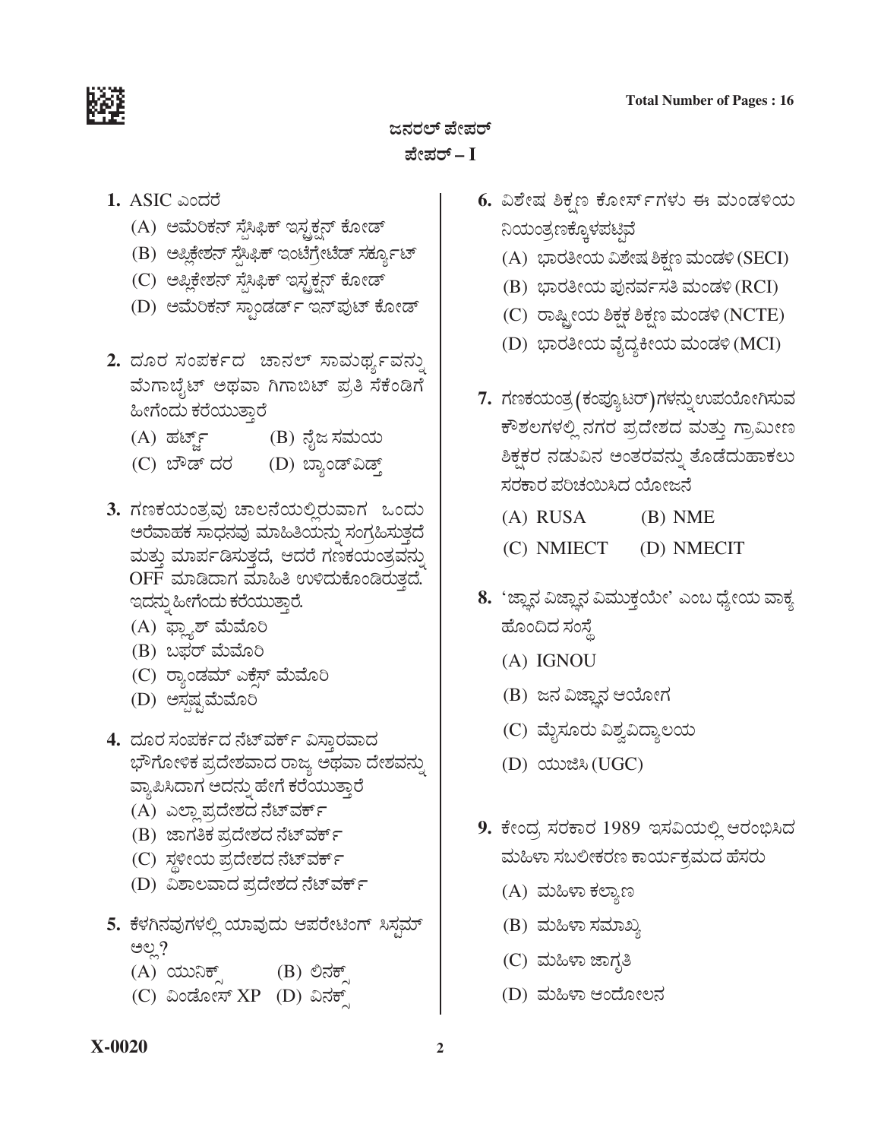

ಪೇಪರ್ – I

- 1. ASIC ಎಂದರೆ
	- (A) ಅಮೆರಿಕನ್ ಸೈಸಿಫಿಕ್ ಇಸ್ಟಕ್ಷನ್ ಕೋಡ್
	- (B) ಅಪ್ಲಿಕೇಶನ್ ಸೈಸಿಫಿಕ್ ಇಂಟೆಗ್ರೇಟೆಡ್ ಸರ್ಕ್ಯೂಟ್
	- (C) ಅಪ್ಲಿಕೇಶನ್ ಸೈಸಿಫಿಕ್ ಇಸ್ಟ್ರಕ್ಷನ್ ಕೋಡ್
	- (D) ಅಮೆರಿಕನ್ ಸ್ಪಾಂಡರ್ಡ್ ಇನ್ ಪುಟ್ ಕೋಡ್
- 2. ದೂರ ಸಂಪರ್ಕದ ಚಾನಲ್ ಸಾಮರ್ಥ್ಯವನ್ನು ಮೆಗಾಬೈಟ್ ಅಥವಾ ಗಿಗಾಬಿಟ್ ಪ್ರತಿ ಸೆಕೆಂಡಿಗೆ ಹೀಗೆಂದು ಕರೆಯುತ್ತಾರೆ
	- (A) ಹರ್ಟ್ಸ್ (B) ನೈಜ ಸಮಯ
	- (C) ಬೌಡ್ ದರ (D) ಬ್ಯಾಂಡ್ವಾಡ್ತ್
- 3. ಗಣಕಯಂತ್ರವು ಚಾಲನೆಯಲ್ಲಿರುವಾಗ ಒಂದು ಅರೆವಾಹಕ ಸಾಧನವು ಮಾಹಿತಿಯನ್ನು ಸಂಗ್ರಹಿಸುತ್ತದೆ ಮತ್ತು ಮಾರ್ಪಡಿಸುತ್ತದೆ, ಆದರೆ ಗಣಕಯಂತ್ರವನ್ನು OFF ಮಾಡಿದಾಗ ಮಾಹಿತಿ ಉಳಿದುಕೊಂಡಿರುತ್ತದೆ. ಇದನ್ನು ಹೀಗೆಂದು ಕರೆಯುತ್ತಾರೆ.
	- (A) ಫ್ಲ್ಯಾಶ್ ಮೆಮೊರಿ
	- (B) ಬಫರ್ ಮೆಮೊರಿ
	- (C) ರ್ಾಂಡಮ್ ಎಕ್ಸೆಸ್ ಮೆಮೊರಿ
	- (D) ಅಸ್ಪಷ್ಟಮೆಮೊರಿ
- 4. ದೂರ ಸಂಪರ್ಕದ ನೆಟ್ವರ್ಕ್ ವಿಸ್ತಾರವಾದ ಭೌಗೋಳಿಕ ಪ್ರದೇಶವಾದ ರಾಜ್ಯ ಅಥವಾ ದೇಶವನ್ನು ವ್ಯಾಪಿಸಿದಾಗ ಅದನ್ನು ಹೇಗೆ ಕರೆಯುತ್ತಾರೆ
	- (A) ಎಲ್ಲಾ ಪ್ರದೇಶದ ನೆಟ್ ವರ್ಕ್
	- (B) ಜಾಗತಿಕ ಪ್ರದೇಶದ ನೆಟ್*ವ*ರ್ಕ್
	- (C) ಸ್ಥಳೀಯ ಪ್ರದೇಶದ ನೆಟ್*ವ*ರ್ಕ್
	- (D) ವಿಶಾಲವಾದ ಪ್ರದೇಶದ ನೆಟ್*ವ*ರ್ಕ್
- 5. ಕೆಳಗಿನವುಗಳಲ್ಲಿ ಯಾವುದು ಆಪರೇಟಿಂಗ್ ಸಿಸ್ತಮ್ ಅಲ್ಲಿ ?
	- (A) ಯುನಿಕ್ಸ್ (B) ಲಿನಕ್ಸ್
	- (C) ವಿಂಡೋಸ್ XP (D) ವಿನಕ್
- 6. ವಿಶೇಷ ಶಿಕ್ಷಣ ಕೋರ್ಸ್ಗಳು ಈ ಮಂಡಳಿಯ ನಿಯಂತ್ರಣಕ್ಕೊಳಪಟ್ಟಿವೆ
	- (A) ಭಾರತೀಯ ವಿಶೇಷ ಶಿಕ್ಷಣ ಮಂಡಳಿ (SECI)
	- (B) ಭಾರತೀಯ ಪುನರ್ವಸತಿ ಮಂಡಳಿ (RCI)
	- (C) ರಾಷ್ಟ್ರೀಯ ಶಿಕ್ಷಕ ಶಿಕ್ಷಣ ಮಂಡಳಿ (NCTE)
	- (D) ಭಾರತೀಯ ವೈದ್ಯಕೀಯ ಮಂಡಳಿ (MCI)
- 7. ಗಣಕಯಂತ್ರ (ಕಂಪ್ಯೂಟರ್)ಗಳನ್ನು ಉಪಯೋಗಿಸುವ ಕೌಶಲಗಳಲ್ಲಿ ನಗರ ಪ್ರದೇಶದ ಮತ್ತು ಗ್ರಾಮೀಣ ಶಿಕ್ಷಕರ ನಡುವಿನ ಅಂತರವನ್ನು ತೊಡೆದುಹಾಕಲು ಸರಕಾರ ಪರಿಚಯಿಸಿದ ಯೋಜನೆ
	- $(A)$  RUSA  $(B)$  NME
	- (C) NMIECT (D) NMECIT
- 8. 'ಜ್ಞಾನ ವಿಜ್ಞಾನ ವಿಮುಕ್ತಯೇ' ಎಂಬ ಧ್ಯೇಯ ವಾಕ್ಯ ಹೊಂದಿದ ಸಂಸ್ಥೆ
	- $(A)$  IGNOU
	- (B) ಜನ ವಿಜ್ಞಾನ ಆಯೋಗ
	- (C) ಮೈಸೂರು ವಿಶ್ವವಿದ್ಯಾಲಯ
	- (D) ಯುಜಿಸಿ (UGC)
- 9. ಕೇಂದ್ರ ಸರಕಾರ 1989 ಇಸವಿಯಲ್ಲಿ ಆರಂಭಿಸಿದ ಮಹಿಳಾ ಸಬಲೀಕರಣ ಕಾರ್ಯಕ್ರಮದ ಹೆಸರು
	- (A) ಮಹಿಳಾ ಕಲ್ಯಾಣ
	- (B) ಮಹಿಳಾ ಸಮಾಖ್ಯ
	- (C) ಮಹಿಳಾ ಜಾಗೃತಿ
	- (D) ಮಹಿಳಾ ಆಂದೋಲನ

# X-0020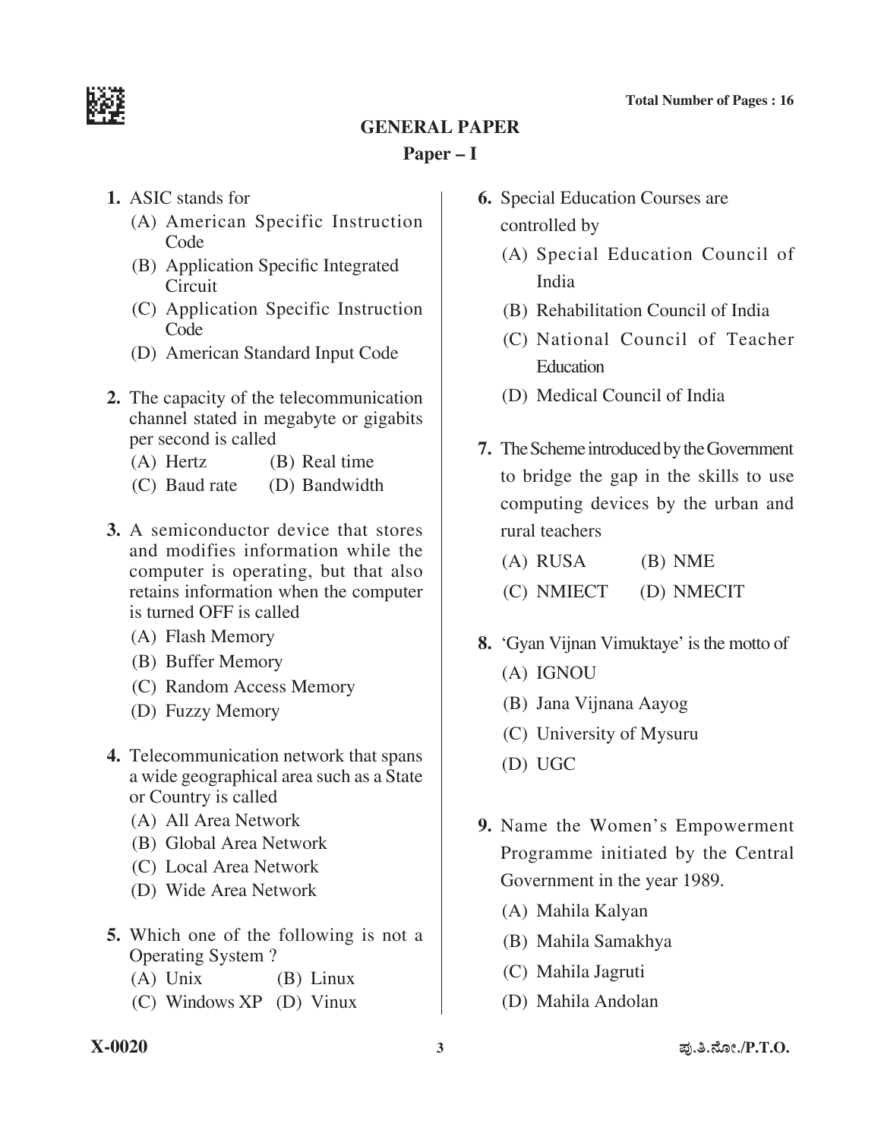

# **General Paper Paper – I**

- **1.** ASIC stands for
	- (A) American Specific Instruction Code
	- (B) Application Specific Integrated **Circuit**
	- (C) Application Specific Instruction Code
	- (D) American Standard Input Code
- **2.** The capacity of the telecommunication channel stated in megabyte or gigabits per second is called
	- (A) Hertz (B) Real time
	- (C) Baud rate (D) Bandwidth
- **3.** A semiconductor device that stores and modifies information while the computer is operating, but that also retains information when the computer is turned OFF is called
	- (A) Flash Memory
	- (B) Buffer Memory
	- (C) Random Access Memory
	- (D) Fuzzy Memory
- **4.** Telecommunication network that spans a wide geographical area such as a State or Country is called
	- (A) All Area Network
	- (B) Global Area Network
	- (C) Local Area Network
	- (D) Wide Area Network
- **5.** Which one of the following is not a Operating System ?
	- (A) Unix (B) Linux
	- (C) Windows  $XP$  (D) Vinux
- **6.** Special Education Courses are controlled by
	- (A) Special Education Council of India
	- (B) Rehabilitation Council of India
	- (C) National Council of Teacher **Education**
	- (D) Medical Council of India
- **7.** The Scheme introduced by the Government to bridge the gap in the skills to use computing devices by the urban and rural teachers
	- (A) RUSA (B) NME (C) NMIECT (D) NMECIT
- **8.** 'Gyan Vijnan Vimuktaye' is the motto of
	- (A) IGNOU
	- (B) Jana Vijnana Aayog
	- (C) University of Mysuru
	- (D) UGC
- **9.** Name the Women's Empowerment Programme initiated by the Central Government in the year 1989.
	- (A) Mahila Kalyan
	- (B) Mahila Samakhya
	- (C) Mahila Jagruti
	- (D) Mahila Andolan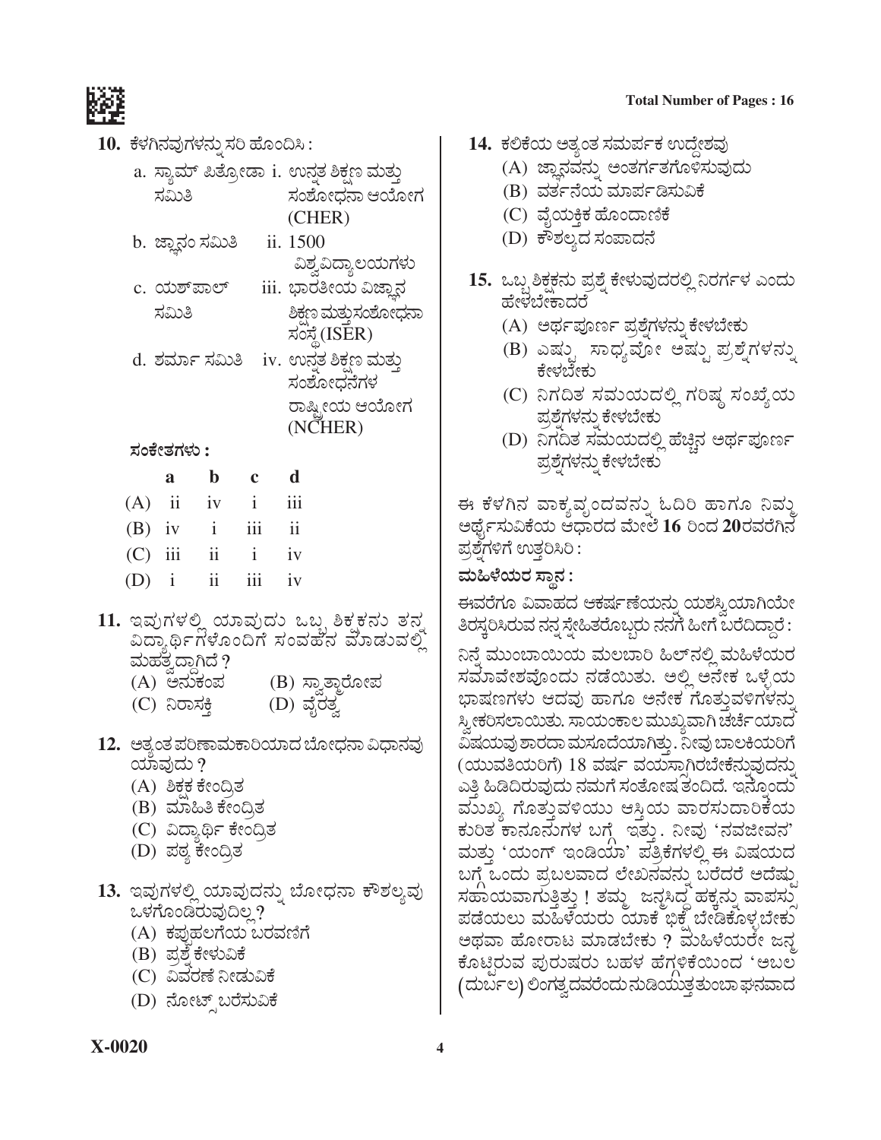

- 10. ಕೆಳಗಿನವುಗಳನ್ನು ಸರಿ ಹೊಂದಿಸಿ :
	- a. ಸ್ಯಾಮ್ ಪಿತ್ರೋಡಾ i. ಉನ್ನತ ಶಿಕ್ಷಣ ಮತ್ತು ಸಮಿತಿ ಸಂಶೋಧನಾ ಆಯೋಗ (CHER)
	- b. ಜ್ಞಾನಂ ಸಮಿತಿ ii. 1500 ವಿಶ್ವವಿದ್ಯಾಲಯಗಳು
	- c. ಯಶ್*ಪಾಲ್* <u>iii. ಭಾರತೀಯ ವಿಜ್ಞಾನ</u> ಸಮಿತಿ ಶಿಕಣ ಮತುಸಂಶೋಧನಾ ಸಂಸ್ಥೆ (ISER)
	- d. ಶರ್ಮಾ ಸಮಿತಿ iv. ಉನ್ತತ ಶಿಕಣ ಮತ್ತು ಸಂಶೋದನೆಗಳ ರಾಷ್ಟ್ರೀಯ ಆಯೋಗ (NCHER)

ಸಂಕೇತಗಳು :

|           | a | b                       | $\mathbf c$  | d                       |
|-----------|---|-------------------------|--------------|-------------------------|
| $(A)$ ii  |   | iv                      | $\mathbf{i}$ | $\overline{111}$        |
| $(B)$ iv  |   | $\mathbf{i}$            | iii          | $\overline{\textbf{1}}$ |
| $(C)$ iii |   | $\overline{\textbf{1}}$ | $\mathbf{i}$ | iv                      |
| $(D)$ i   |   | ii                      | iii          | iv                      |

- 11. ಇವುಗಳಲ್ಲಿ ಯಾವುದು ಒಬ್ಬ ಶಿಕ್ಷಕನು ತನ ವಿದ್ಯಾರ್ಥಿಗಳೊಂದಿಗೆ ಸಂವಹನ ಮಾಡುವಲ್ಲಿ ಮಹತ್ವದ್ದಾಗಿದೆ ?
	- (A) ಅನುಕಂಪ (B) ಸ್ವಾತ್ತಾರೋಪ
	- (D) ವೈರತ್ವ (C) ನಿರಾಸಕ್ತಿ
- 12. ಅತ್ಯಂತ ಪರಿಣಾಮಕಾರಿಯಾದ ಬೋಧನಾ ವಿಧಾನವು ಯಾವುದು ?
	- (A) ಶಿಕಕ ಕೇಂದ್ರಿತ
	- (B) ಮಾಹಿತಿ ಕೇಂದ್ರಿತ
	- (C) ವಿದ್ಯಾರ್ಥಿ ಕೇಂದ್ರಿತ
	- (D) ಪಠ್ಯ ಕೇಂದ್ರಿತ
- 13. ಇವುಗಳಲ್ಲಿ ಯಾವುದನ್ನು ಬೋಧನಾ ಕೌಶಲ್ಯವು ಒಳಗೊಂಡಿರುವುದಿಲ್ಲ?
	- (A) ಕಪುಹಲಗೆಯ ಬರವಣಿಗೆ
	- (B) ಪ್ರಶ್ನೆ ಕೇಳುವಿಕೆ
	- (C) ವಿವರಣೆ ನೀಡುವಿಕೆ
	- (D) ನೋಟ್ಸ್ ಬರೆಸುವಿಕೆ

#### **Total Number of Pages: 16**

- 14. ಕಲಿಕೆಯ ಅತ್ಯಂತ ಸಮರ್ಪಕ ಉದ್ದೇಶವು
	- (A) ಜ್ಞಾನವನ್ನು ಅಂತರ್ಗತಗೊಳಿಸುವುದು
	- (B) ವರ್ತನೆಯ ಮಾರ್ಪಡಿಸುವಿಕೆ
	- (C) ವೈಯಕ್ತಿಕ ಹೊಂದಾಣಿಕೆ
	- (D) ಕೌಶಲ್ಯದ ಸಂಪಾದನೆ
- 15. ಒಬ್ಬ ಶಿಕ್ಷಕನು ಪ್ರಶ್ನೆ ಕೇಳುವುದರಲ್ಲಿ ನಿರರ್ಗಳ ಎಂದು ಹೇಳಬೇಕಾದರೆ
	- (A) ಅರ್ಥಪೂರ್ಣ ಪ್ರಶ್ನೆಗಳನ್ನು ಕೇಳಬೇಕು
	- (B) ಎಷ್ಟು ಸಾಧ್ಯವೋ ಅಷ್ಟು ಪ್ರಶ್ನೆಗಳನ್ನು ಕೇಳಬೇಕು
	- (C) ನಿಗದಿತ ಸಮಯದಲ್ಲಿ ಗರಿಷ್ಠ ಸಂಖ್ಯೆಯ ಪ್ರಶ್ನೆಗಳನ್ನು ಕೇಳಬೇಕು
	- (D) ನಿಗದಿತ ಸಮಯದಲ್ಲಿ ಹೆಚ್ಚಿನ ಅರ್ಥಪೂರ್ಣ ಪ್ರಶ್ನೆಗಳನ್ನು ಕೇಳಬೇಕು

ಈ ಕೆಳಗಿನ ವಾಕ್ಯವೃಂದವನ್ನು ಓದಿರಿ ಹಾಗೂ ನಿವ್ಮು ಅರ್ಥೈಸುವಿಕೆಯ ಆಧಾರದ ಮೇಲೆ 16 ರಿಂದ 20ರವರೆಗಿನ ಪ್ರಶೆಗಳಿಗೆ ಉತ್ತರಿಸಿರಿ :

# ಮಹಿಳೆಯರ ಸ್ಥಾನ :

ಈವರೆಗೂ ವಿವಾಹದ ಆಕರ್ಷಣೆಯನ್ನು ಯಶಸ್ವಿಯಾಗಿಯೇ ತಿರಸ್ತರಿಸಿರುವ ನನ್ನ ಸ್ನೇಹಿತರೊಬ್ಬರು ನನಗೆ ಹೀಗೆ ಬರೆದಿದ್ದಾರೆ : ನಿನೆ ಮುಂಬಾಯಿಯ ಮಲಬಾರಿ ಹಿಲ್ನಲ್ಲಿ ಮಹಿಳೆಯರ ಸಮಾವೇಶವೊಂದು ನಡೆಯಿತು. ಅಲ್ಲಿ ಅನೇಕ ಒಳ್ಳೆಯ ಭಾಷಣಗಳು ಆದವು ಹಾಗೂ ಅನೇಕ ಗೊತ್ತುವಳಿಗಳನು ಸ್ತೀಕರಿಸಲಾಯಿತು. ಸಾಯಂಕಾಲ ಮುಖ್ಯವಾಗಿ ಚರ್ಚೆಯಾದ ವಿಷಯವು ಶಾರದಾ ಮಸೂದೆಯಾಗಿತ್ತು. ನೀವು ಬಾಲಕಿಯರಿಗೆ (ಯುವತಿಯರಿಗೆ) 18 ವರ್ಷ ವಯಸಾಗಿರಬೇಕೆನ್ನುವುದನ್ನು ಎತ್ತಿ ಹಿಡಿದಿರುವುದು ನಮಗೆ ಸಂತೋಷ ತಂದಿದೆ. ಇನ್ನೊಂದು ಮುಖ್ಯ ಗೊತ್ತುವಳಿಯು ಆಸ್ತಿಯ ವಾರಸುದಾರಿಕೆಯ ಕುರಿತ ಕಾನೂನುಗಳ ಬಗ್ಗೆ ಇತ್ತು. ನೀವು 'ನವಜೀವನ' ಮತ್ತು 'ಯಂಗ್ ಇಂಡಿಯಾ' ಪತ್ರಿಕೆಗಳಲ್ಲಿ ಈ ವಿಷಯದ ಬಗ್ಗೆ ಒಂದು ಪ್ರಬಲವಾದ ಲೇಖನವನ್ನು ಬರೆದರೆ ಅದೆಷ್ತು ಸಹಾಯವಾಗುತ್ತಿತ್ತು ! ತಮ್ಮ ಜನ್ನಸಿದ್ದ ಹಕ್ಕನ್ನು ವಾಪಸ್ತು ಪಡೆಯಲು ಮಹಿಳೆಯರು ಯಾಕೆ ಭಿಕ್ಷೆ ಬೇಡಿಕೊಳ್ಳಬೇಕು ಅಥವಾ ಹೋರಾಟ ಮಾಡಬೇಕು ? ಮಹಿಳೆಯರೇ ಜನ್ಮ ಕೊಟ್ಟಿರುವ ಪುರುಷರು ಬಹಳ ಹೆಗ್ಗಳಿಕೆಯಿಂದ 'ಅಬಲ (ದುರ್ಬಲ) ಲಿಂಗತ್ವದವರೆಂದು ನುಡಿಯುತ್ತತುಂಬಾ ಘನವಾದ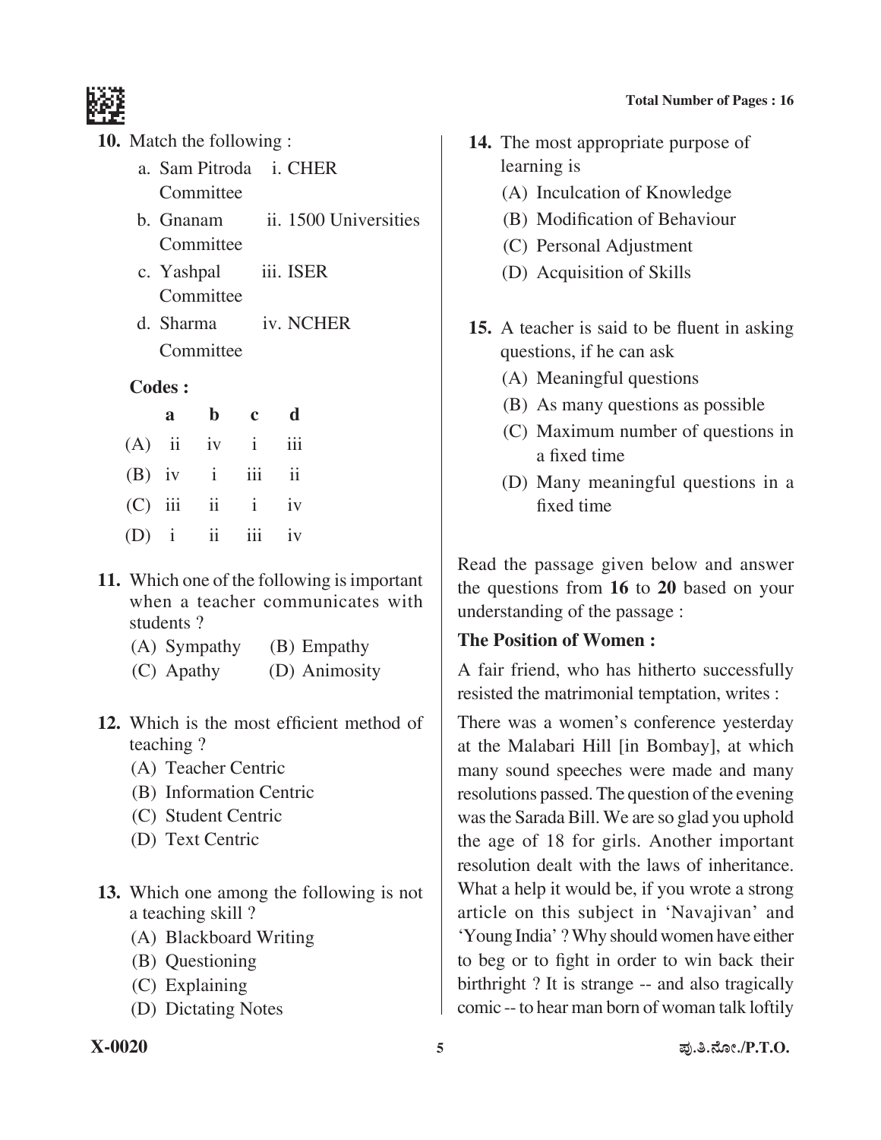

- **10.** Match the following :
	- a. Sam Pitroda i. CHER **Committee**
	- b. Gnanam ii. 1500 Universities **Committee**
	- c. Yashpal iii. ISER **Committee**
	- d. Sharma iv. NCHER Committee

#### **Codes :**

|  | a b c d           |  |
|--|-------------------|--|
|  | $(A)$ ii iv i iii |  |
|  | $(B)$ iv i iii ii |  |
|  | $(C)$ iii ii iv   |  |
|  | $(D)$ i ii iii iv |  |

- **11.** Which one of the following is important when a teacher communicates with students ?
	- (A) Sympathy (B) Empathy
	- (C) Apathy (D) Animosity
- 12. Which is the most efficient method of teaching ?
	- (A) Teacher Centric
	- (B) Information Centric
	- (C) Student Centric
	- (D) Text Centric
- 13. Which one among the following is not a teaching skill ?
	- (A) Blackboard Writing
	- (B) Questioning
	- (C) Explaining
	- (D) Dictating Notes
- **14.** The most appropriate purpose of learning is
	- (A) Inculcation of Knowledge
	- (B) Modification of Behaviour
	- (C) Personal Adjustment
	- (D) Acquisition of Skills
- **15.** A teacher is said to be fluent in asking questions, if he can ask
	- (A) Meaningful questions
	- (B) As many questions as possible
	- (C) Maximum number of questions in a fixed time
	- (D) Many meaningful questions in a fixed time

Read the passage given below and answer the questions from **16** to **20** based on your understanding of the passage :

## **The Position of Women :**

A fair friend, who has hitherto successfully resisted the matrimonial temptation, writes :

There was a women's conference yesterday at the Malabari Hill [in Bombay], at which many sound speeches were made and many resolutions passed. The question of the evening wasthe Sarada Bill. We are so glad you uphold the age of 18 for girls. Another important resolution dealt with the laws of inheritance. What a help it would be, if you wrote a strong article on this subject in 'Navajivan' and 'Young India' ?Why shouldwomen have either to beg or to fight in order to win back their birthright ? It is strange -- and also tragically comic --to hear man born of woman talk loftily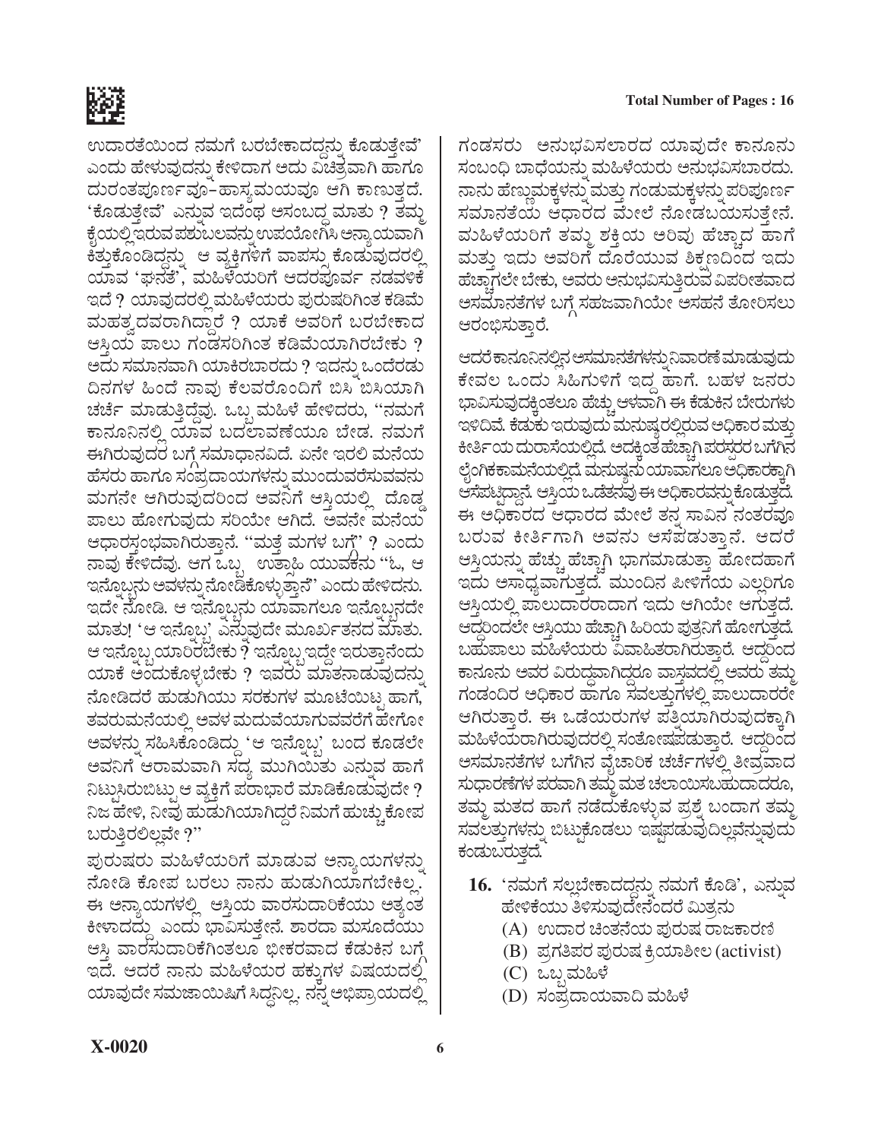

ಉದಾರತೆಯಿಂದ ನಮಗೆ ಬರಬೇಕಾದದ್ದನು ಕೊಡುತ್ತೇವೆ' ಎಂದು ಹೇಳುವುದನ್ನು ಕೇಳಿದಾಗ ಅದು ವಿಚಿತ್ರವಾಗಿ ಹಾಗೂ ದುರಂತಪೂರ್ಣವೂ-ಹಾಸ್ಯಮಯವೂ ಆಗಿ ಕಾಣುತ್ತದೆ. 'ಕೊಡುತ್ತೇವೆ' ಎನ್ನುವ ಇದೆಂಥ ಅಸಂಬದ್ಧ ಮಾತು ? ತಮ್ಮ ಕೈಯಲ್ಲಿ ಇರುವ ಪಶುಬಲವನ್ನು ಉಪಯೋಗಿಸಿ ಅನ್ಯಾಯವಾಗಿ ಕಿತ್ತುಕೊಂಡಿದ್ದನ್ನು ಆ ವ್ಯಕ್ತಿಗಳಿಗೆ ವಾಪಸ್ಸು ಕೊಡುವುದರಲ್ಲಿ ಯಾವ 'ಘನತೆ', ಮಹಿಳೆಯರಿಗೆ ಆದರಪೂರ್ವ ನಡವಳಿಕೆ ಇದೆ ? ಯಾವುದರಲ್ಲಿ ಮಹಿಳೆಯರು ಪುರುಷರಿಗಿಂತ ಕಡಿಮೆ ಮಹತ್ವದವರಾಗಿದ್ದಾರೆ ? ಯಾಕೆ ಅವರಿಗೆ ಬರಬೇಕಾದ ಆಸ್ತಿಯ ಪಾಲು ಗಂಡಸರಿಗಿಂತ ಕಡಿಮೆಯಾಗಿರಬೇಕು ? ಅದು ಸಮಾನವಾಗಿ ಯಾಕಿರಬಾರದು ? ಇದನ್ನು ಒಂದೆರಡು ದಿನಗಳ ಹಿಂದೆ ನಾವು ಕೆಲವರೊಂದಿಗೆ ಬಿಸಿ ಬಿಸಿಯಾಗಿ ಚರ್ಚೆ ಮಾಡುತ್ತಿದ್ದೆವು. ಒಬ್ಬ ಮಹಿಳೆ ಹೇಳಿದರು, ''ನಮಗೆ ಕಾನೂನಿನಲ್ಲಿ ಯಾವ ಬದಲಾವಣೆಯೂ ಬೇಡ. ನಮಗೆ ಈಗಿರುವುದರ ಬಗ್ಗೆ ಸಮಾಧಾನವಿದೆ. ಏನೇ ಇರಲಿ ಮನೆಯ ಹೆಸರು ಹಾಗೂ ಸಂಪ್ರದಾಯಗಳನ್ನು ಮುಂದುವರೆಸುವವನು ಮಗನೇ ಆಗಿರುವುದರಿಂದ ಅವನಿಗೆ ಆಸ್ತಿಯಲ್ಲಿ ದೊಡ್ಡ ಪಾಲು ಹೋಗುವುದು ಸರಿಯೇ ಆಗಿದೆ. ಅವನೇ ಮನೆಯ ಆಧಾರಸ್ತಂಭವಾಗಿರುತ್ತಾನೆ. ''ಮತ್ತೆ ಮಗಳ ಬಗ್ಗೆ' ? ಎಂದು ನಾವು ಕೇಳಿದೆವು. ಆಗ ಒಬ್ಬ ಉತ್ತಾಹಿ ಯುವಕನು ''ಓ, ಆ ಇನ್ನೊಬ್ಬನು ಅವಳನ್ನು ನೋಡಿಕೊಳ್ಳುತ್ತಾನೆ'' ಎಂದು ಹೇಳಿದನು. ಇದೇ ನೋಡಿ. ಆ ಇನ್ನೊಬ್ಬನು ಯಾವಾಗಲೂ ಇನ್ನೊಬ್ಬನದೇ ಮಾತು! 'ಆ ಇನ್ನೊಬ್ಬ' ಎನ್ನುವುದೇ ಮೂರ್ಖತನದ ಮಾತು. ಆ ಇನ್ನೊಬ್ಬ ಯಾರಿರಬೇಕು ? ಇನ್ನೊಬ್ಬ ಇದ್ದೇ ಇರುತ್ತಾನೆಂದು ಯಾಕೆ ಅಂದುಕೊಳ್ಳಬೇಕು ? ಇವರು ಮಾತನಾಡುವುದನ್ನು ನೋಡಿದರೆ ಹುಡುಗಿಯು ಸರಕುಗಳ ಮೂಟೆಯಿಟ್ಟ ಹಾಗೆ, ತವರುಮನೆಯಲ್ಲಿ ಅವಳ ಮದುವೆಯಾಗುವವರೆಗೆ ಹೇಗೋ ಅವಳನ್ನು ಸಹಿಸಿಕೊಂಡಿದ್ದು 'ಆ ಇನ್ನೊಬ್ಬ' ಬಂದ ಕೂಡಲೇ ಅವನಿಗೆ ಆರಾಮವಾಗಿ ಸದ್ಯ ಮುಗಿಯಿತು ಎನ್ನುವ ಹಾಗೆ ನಿಟ್ಟುಸಿರುಬಿಟ್ಟು ಆ ವ್ಯಕ್ತಿಗೆ ಪರಾಭಾರೆ ಮಾಡಿಕೊಡುವುದೇ ? ನಿಜ ಹೇಳಿ, ನೀವು ಹುಡುಗಿಯಾಗಿದ್ದರೆ ನಿಮಗೆ ಹುಚ್ಚುಕೋಪ ಬರುತ್ತಿರಲಿಲ್ಲವೇ ?''

ಪುರುಷರು ಮಹಿಳೆಯರಿಗೆ ಮಾಡುವ ಅನ್ಯಾಯಗಳನ್ನು ನೋಡಿ ಕೋಪ ಬರಲು ನಾನು ಹುಡುಗಿಯಾಗಬೇಕಿಲ್ಲ. ಈ ಅನ್ಯಾಯಗಳಲ್ಲಿ ಆಸ್ತಿಯ ವಾರಸುದಾರಿಕೆಯು ಅತ್ಯಂತ ಕೀಳಾದದ್ದು ಎಂದು ಭಾವಿಸುತ್ತೇನೆ. ಶಾರದಾ ಮಸೂದೆಯು ಆಸ್ತಿ ವಾರಸುದಾರಿಕೆಗಿಂತಲೂ ಭೀಕರವಾದ ಕೆಡುಕಿನ ಬಗ್ಗೆ ಇದೆ. ಆದರೆ ನಾನು ಮಹಿಳೆಯರ ಹಕ್ಕುಗಳ ವಿಷಯದಲ್ಲಿ ಯಾವುದೇ ಸಮಜಾಯಿಷಿಗೆ ಸಿದ್ದನಿಲ್ಲ. ನನ್ನ ಅಭಿಪ್ರಾಯದಲ್ಲಿ

ಗಂಡಸರು ಅನುಭವಿಸಲಾರದ ಯಾವುದೇ ಕಾನೂನು ಸಂಬಂಧಿ ಬಾಧೆಯನ್ನು ಮಹಿಳೆಯರು ಅನುಭವಿಸಬಾರದು. ನಾನು ಹೆಣ್ಣುಮಕ್ಕಳನ್ನು ಮತ್ತು ಗಂಡುಮಕ್ಕಳನ್ನು ಪರಿಪೂರ್ಣ ಸಮಾನತೆಯ ಆಧಾರದ ಮೇಲೆ ನೋಡಬಯಸುತ್ತೇನೆ. ವುಹಿಳೆಯರಿಗೆ ತಮ್ಮ ಶಕ್ತಿಯ ಅರಿವು ಹೆಚ್ಚಾದ ಹಾಗೆ ಮತ್ತು ಇದು ಅವರಿಗೆ ದೊರೆಯುವ ಶಿಕ್ಷಣದಿಂದ ಇದು ಹೆಚ್ಚಾಗಲೇ ಬೇಕು, ಅವರು ಅನುಭವಿಸುತ್ತಿರುವ ವಿಪರೀತವಾದ ಅಸಮಾನತೆಗಳ ಬಗ್ಗೆ ಸಹಜವಾಗಿಯೇ ಅಸಹನೆ ತೋರಿಸಲು ಆರಂಭಿಸುತ್ತಾರೆ.

ಆದರೆ ಕಾನೂನಿನಲ್ಲಿನ ಅಸಮಾನತೆಗಳನ್ನು ನಿವಾರಣೆ ಮಾಡುವುದು ಕೇವಲ ಒಂದು ಸಿಹಿಗುಳಿಗೆ ಇದ್ದ ಹಾಗೆ. ಬಹಳ ಜನರು ಭಾವಿಸುವುದಕ್ಕಿಂತಲೂ ಹೆಚ್ಚು ಆಳವಾಗಿ ಈ ಕೆಡುಕಿನ ಬೇರುಗಳು ಇಳಿದಿವೆ. ಕೆಡುಕು ಇರುವುದು ಮನುಷ್ಯರಲ್ಲಿರುವ ಅಧಿಕಾರ ಮತ್ತು ಕೀರ್ತಿಯ ದುರಾಸೆಯಲ್ಲಿದೆ. ಅದಕ್ಕಿಂತ ಹೆಚ್ಚಾಗಿ ಪರಸ್ಪರರ ಬಗೆಗಿನ ಲೈಂಗಿಕಕಾಮನೆಯಲ್ಲಿದೆ. ಮನುಷ್ಯನು ಯಾವಾಗಲೂ ಅಧಿಕಾರಕ್ಕಾಗಿ ಆಸೆಪಟ್ಟಿದ್ದಾನೆ. ಆಸ್ತಿಯ ಒಡೆತನವು ಈ ಅಧಿಕಾರವನ್ನು ಕೊಡುತ್ತದೆ. ಈ ಅಧಿಕಾರದ ಆಧಾರದ ಮೇಲೆ ತನ್ನ ಸಾವಿನ ನಂತರವೂ ಬರುವ ಕೀರ್ತಿಗಾಗಿ ಅವನು ಆಸೆಪಡುತ್ತಾನೆ. ಆದರೆ ಆಸ್ತಿಯನ್ನು ಹೆಚ್ಚು ಹೆಚ್ಚಾಗಿ ಭಾಗಮಾಡುತ್ತಾ ಹೋದಹಾಗೆ ಇದು ಅಸಾಧ್ಯವಾಗುತ್ತದೆ. ಮುಂದಿನ ಪೀಳಿಗೆಯ ಎಲ್ಲರಿಗೂ ಆಸ್ತಿಯಲ್ಲಿ ಪಾಲುದಾರರಾದಾಗ ಇದು ಆಗಿಯೇ ಆಗುತ್ತದೆ. ಆದ್ದರಿಂದಲೇ ಆಸ್ತಿಯು ಹೆಚ್ಚಾಗಿ ಹಿರಿಯ ಪುತ್ರನಿಗೆ ಹೋಗುತ್ತದೆ. ಬಹುಪಾಲು ಮಹಿಳೆಯರು ವಿವಾಹಿತರಾಗಿರುತ್ತಾರೆ. ಆದ್ದರಿಂದ ಕಾನೂನು ಅವರ ವಿರುದ್ಧವಾಗಿದ್ದರೂ ವಾಸ್ತವದಲ್ಲಿ ಅವರು ತಮ್ಮ ಗಂಡಂದಿರ ಅಧಿಕಾರ ಹಾಗೂ ಸವಲತ್ತುಗಳಲ್ಲಿ ಪಾಲುದಾರರೇ ಆಗಿರುತ್ತಾರೆ. ಈ ಒಡೆಯರುಗಳ ಪತ್ತಿಯಾಗಿರುವುದಕ್ಕಾಗಿ ಮಹಿಳೆಯರಾಗಿರುವುದರಲ್ಲಿ ಸಂತೋಷಪಡುತ್ತಾರೆ. ಆದ್ದರಿಂದ ಅಸಮಾನತೆಗಳ ಬಗೆಗಿನ ವೈಚಾರಿಕ ಚರ್ಚೆಗಳಲ್ಲಿ ತೀವ್ರವಾದ ಸುಧಾರಣೆಗಳ ಪರವಾಗಿ ತಮ್ಮ ಮತ ಚಲಾಯಿಸಬಹುದಾದರೂ, ತಮ್ಮ ಮತದ ಹಾಗೆ ನಡೆದುಕೊಳ್ಳುವ ಪ್ರಶ್ನೆ ಬಂದಾಗ ತಮ್ಮ ಸವಲತ್ತುಗಳನ್ನು ಬಿಟ್ಟುಕೊಡಲು ಇಷ್ಟಪಡುವುದಿಲ್ಲವೆನ್ನುವುದು ಕಂಡುಬರುತ್ತದೆ.

- 16. 'ನಮಗೆ ಸಲ್ಲಬೇಕಾದದ್ದನ್ನು ನಮಗೆ ಕೊಡಿ', ಎನ್ನುವ ಹೇಳಿಕೆಯು ತಿಳಿಸುವುದೇನೆಂದರೆ ಮಿತ್ರನು
	- (A) ಉದಾರ ಚಿಂತನೆಯ ಪುರುಷ ರಾಜಕಾರಣಿ
	- (B) ಪ್ರಗತಿಪರ ಪುರುಷ ಕ್ರಿಯಾಶೀಲ (activist)
	- (C) ಒಬ್ಬಮಹಿಳೆ
	- (D) ಸಂಪ್ರದಾಯವಾದಿ ಮಹಿಳೆ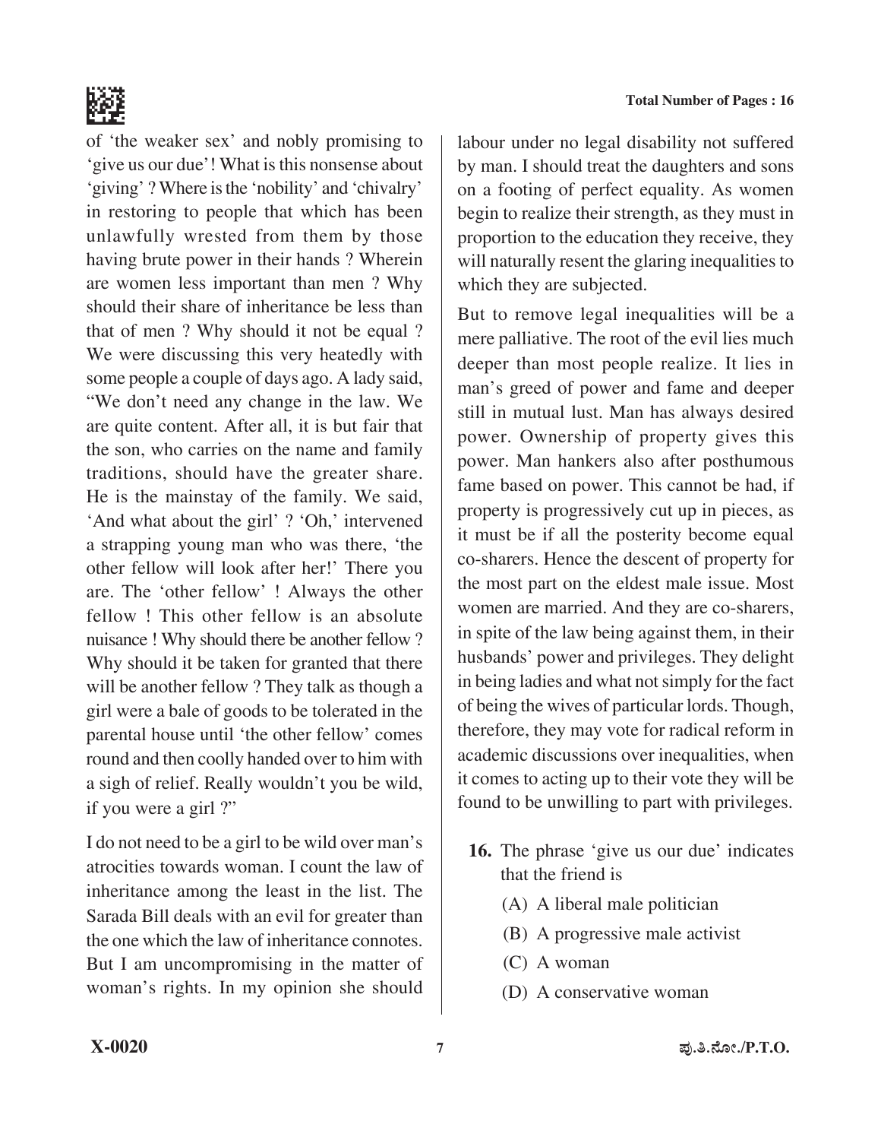



of 'the weaker sex' and nobly promising to 'give us our due'! What is this nonsense about 'giving' ? Where is the 'nobility' and 'chivalry' in restoring to people that which has been unlawfully wrested from them by those having brute power in their hands ? Wherein are women less important than men ? Why should their share of inheritance be less than that of men ? Why should it not be equal ? We were discussing this very heatedly with some people a couple of days ago. A lady said, "We don't need any change in the law. We are quite content. After all, it is but fair that the son, who carries on the name and family traditions, should have the greater share. He is the mainstay of the family. We said, 'And what about the girl' ? 'Oh,' intervened a strapping young man who was there, 'the other fellow will look after her!' There you are. The 'other fellow' ! Always the other fellow ! This other fellow is an absolute nuisance ! Why should there be another fellow ? Why should it be taken for granted that there will be another fellow ? They talk as though a girl were a bale of goods to be tolerated in the parental house until 'the other fellow' comes round and then coolly handed over to him with a sigh of relief. Really wouldn't you be wild, if you were a girl ?"

I do not need to be a girl to be wild over man's atrocities towards woman. I count the law of inheritance among the least in the list. The Sarada Bill deals with an evil for greater than the one which the law of inheritance connotes. But I am uncompromising in the matter of woman's rights. In my opinion she should

labour under no legal disability not suffered by man. I should treat the daughters and sons on a footing of perfect equality. As women begin to realize their strength, as they must in proportion to the education they receive, they will naturally resent the glaring inequalities to which they are subjected.

But to remove legal inequalities will be a mere palliative. The root of the evil lies much deeper than most people realize. It lies in man's greed of power and fame and deeper still in mutual lust. Man has always desired power. Ownership of property gives this power. Man hankers also after posthumous fame based on power. This cannot be had, if property is progressively cut up in pieces, as it must be if all the posterity become equal co-sharers. Hence the descent of property for the most part on the eldest male issue. Most women are married. And they are co-sharers, in spite of the law being against them, in their husbands' power and privileges. They delight in being ladies and what notsimply for the fact of being the wives of particular lords. Though, therefore, they may vote for radical reform in academic discussions over inequalities, when it comes to acting up to their vote they will be found to be unwilling to part with privileges.

- **16.** The phrase 'give us our due' indicates that the friend is
	- (A) A liberal male politician
	- (B) A progressive male activist
	- (C) A woman
	- (D) A conservative woman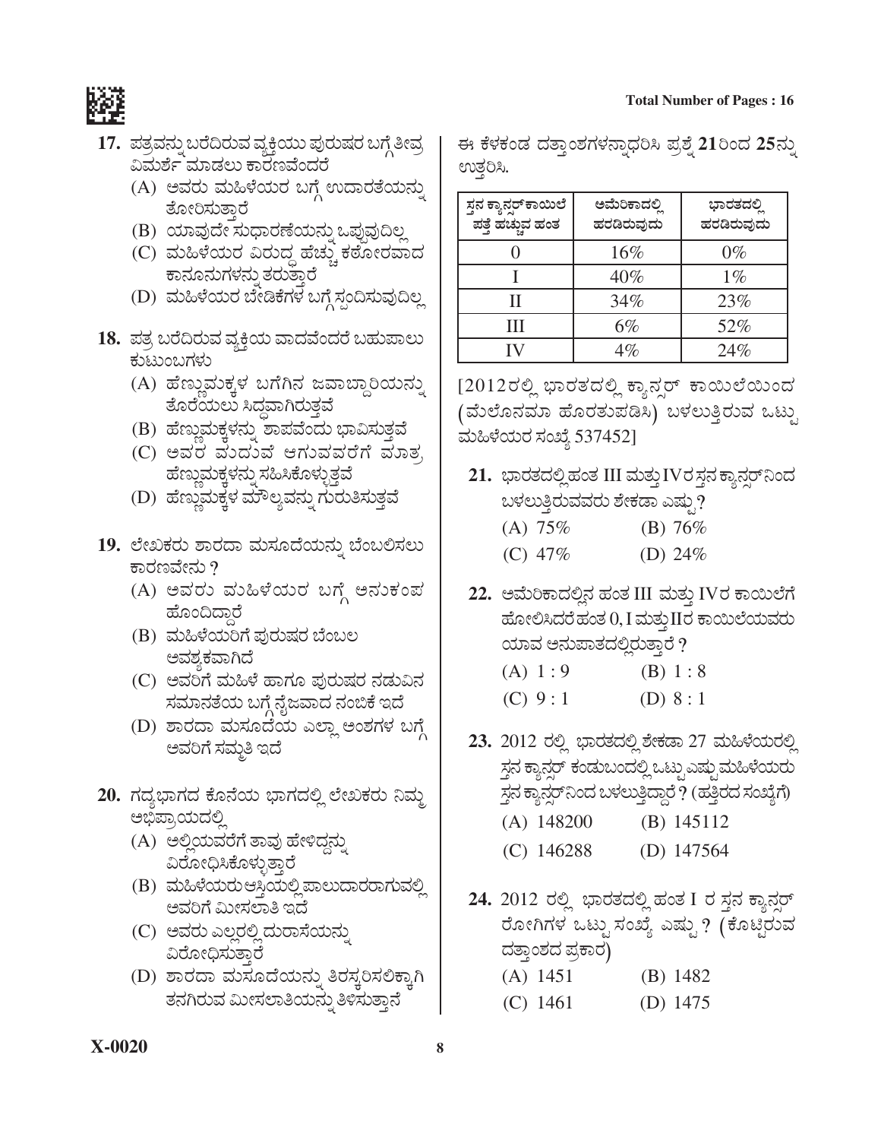

- 17. ಪತ್ರವನ್ನು ಬರೆದಿರುವ ವ್ಯಕ್ತಿಯು ಪುರುಷರ ಬಗ್ಗೆ ತೀವ್ರ ವಿಮರ್ಶೆ ಮಾಡಲು ಕಾರಣವೆಂದರೆ
	- (A) ಅವರು ಮಹಿಳೆಯರ ಬಗ್ಗೆ ಉದಾರತೆಯನ್ನು ತೋರಿಸುತ್ತಾರೆ
	- (B) ಯಾವುದೇ ಸುಧಾರಣೆಯನ್ನು ಒಪ್ಪುವುದಿಲ್ಲ
	- (C) ಮಹಿಳೆಯರ ವಿರುದ್ಧ ಹೆಚ್ಚು ಕಠೋರವಾದ ಕಾನೂನುಗಳನ್ನು ತರುತ್ತಾರೆ
	- (D) ಮಹಿಳೆಯರ ಬೇಡಿಕೆಗಳ ಬಗ್ಗೆ ಸ್ಪಂದಿಸುವುದಿಲ್ಲ
- 18. ಪತ್ರ ಬರೆದಿರುವ ವ್ಯಕ್ತಿಯ ವಾದವೆಂದರೆ ಬಹುಪಾಲು ಕುಟುಂಬಗಳು
	- (A) ಹೆಣ್ಣುಮಕ್ಕಳ ಬಗೆಗಿನ ಜವಾಬ್ದಾರಿಯನ್ನು ತೊರೆಯಲು ಸಿದವಾಗಿರುತ್ತ
	- (B) ಹೆಣ್ಣುಮಕ್ಕಳನ್ನು ಶಾಪವೆಂದು ಭಾವಿಸುತ್ತವೆ
	- (C) ಅವರ ಮೆದುವೆ ಆಗುವವರೆಗೆ ಮಾತ, ಹೆಣ್ಣುಮಕ್ಕಳನ್ನು ಸಹಿಸಿಕೊಳ್ಳುತ್ತವೆ
	- (D) ಹೆಣ್ಣುಮಕ್ಕಳ ಮೌಲ್ಯವನ್ನು ಗುರುತಿಸುತ್ತವೆ
- 19. ಲೇಖಕರು ಶಾರದಾ ಮಸೂದೆಯನ್ನು ಬೆಂಬಲಿಸಲು ಕಾರಣವೇನು ?
	- (A) ಅವರು ಮಹಿಳೆಯರ ಬಗ್ಗೆ ಅನುಕಂಪ ಹೊಂದಿದ್ದಾರೆ
	- (B) ಮಹಿಳೆಯರಿಗೆ ಪುರುಷರ ಬೆಂಬಲ ಅವಶ್ಯಕವಾಗಿದೆ
	- (C) ಅವರಿಗೆ ಮಹಿಳೆ ಹಾಗೂ ಪುರುಷರ ನಡುವಿನ ಸಮಾನತೆಯ ಬಗ್ಗೆ ನೈಜವಾದ ನಂಬಿಕೆ ಇದೆ
	- (D) ಶಾರದಾ ಮಸೂದೆಯ ಎಲ್ಲಾ ಅಂಶಗಳ ಬಗ್ಗೆ ಅವರಿಗೆ ಸಮ್ಮತಿ ಇದೆ
- 20. ಗದ್ಯಭಾಗದ ಕೊನೆಯ ಭಾಗದಲ್ಲಿ ಲೇಖಕರು ನಿಮ್ಮ ಅಭಿಪ್ರಾಯದಲ್ಲಿ
	- (A) ಅಲ್ಲಿಯವರೆಗೆ ತಾವು ಹೇಳಿದ್ದನು ವಿರೋಧಿಸಿಕೊಳ್ಳುತ್ತಾರೆ
	- (B) ಮಹಿಳೆಯರುಆಸ್ತಿಯಲ್ಲಿ ಪಾಲುದಾರರಾಗುವಲ್ಲಿ ಅವರಿಗೆ ಮೀಸಲಾತಿ ಇದೆ
	- (C) ಅವರು ಎಲ್ಲರಲ್ಲಿ ದುರಾಸೆಯನ್ನು ವಿರೋಧಿಸುತ್ತಾರೆ
	- (D) ಶಾರದಾ ಮಸೂದೆಯನ್ನು ತಿರಸ್ಕರಿಸಲಿಕ್ಕಾಗಿ ತನಗಿರುವ ಮೀಸಲಾತಿಯನ್ನು ತಿಳಿಸುತ್ತಾನೆ

ಈ ಕೆಳಕಂಡ ದತ್ತಾಂಶಗಳನ್ನಾಧರಿಸಿ ಪ್ರಶ್ನೆ 21ರಿಂದ 25ನ್ನು ಉತ್ತರಿಸಿ.

| ಸ್ತನ ಕ್ಯಾನ್ಸರ್ ಕಾಯಿಲೆ<br>ಪತ್ತೆ ಹಚ್ಚುವ ಹಂತ | ಅಮೆರಿಕಾದಲಿ<br>ಹರಡಿರುವುದು | ಭಾರತದಲ್ಲಿ<br>ಹರಡಿರುವುದು |
|-------------------------------------------|--------------------------|-------------------------|
|                                           | 16%                      | $0\%$                   |
|                                           | 40%                      | $1\%$                   |
| П                                         | 34%                      | 23%                     |
| Ш                                         | 6%                       | 52%                     |
|                                           | $4\%$                    | 24%                     |

[2012ರಲ್ಲಿ ಭಾರತದಲ್ಲಿ ಕ್ಯಾನ್ಸರ್ ಕಾಯಿಲೆಯಿಂದ (ಮೆಲೊನಮಾ ಹೊರತುಪಡಿಸಿ) ಬಳಲುತ್ತಿರುವ ಒಟ್ಟು ಮಹಿಳೆಯರ ಸಂಖ್ಯೆ 537452]

- 21. ಭಾರತದಲ್ಲಿ ಹಂತ III ಮತ್ತು IVರ ಸ್ತನ ಕ್ಯಾನ್ಸರ್ ನಿಂದ ಬಳಲುತ್ತಿರುವವರು ಶೇಕಡಾ ಎಷ್ಟು?
	- $(A) 75%$ (B)  $76%$ (C)  $47\%$ (D)  $24\%$
- 22. ಅಮೆರಿಕಾದಲ್ಲಿನ ಹಂತ III ಮತ್ತು IVರ ಕಾಯಿಲೆಗೆ ಹೋಲಿಸಿದರೆಹಂತ $0, I$  ಮತ್ತು $II$ ರ ಕಾಯಿಲೆಯವರು ಯಾವ ಅನುಪಾತದಲ್ಲಿರುತ್ತಾರೆ ?

| (A) 1:9 | (B) 1:8   |
|---------|-----------|
| (C) 9:1 | (D) $8:1$ |

- 23. 2012 ರಲ್ಲಿ ಭಾರತದಲ್ಲಿ ಶೇಕಡಾ 27 ಮಹಿಳೆಯರಲ್ಲಿ ಸ್ಥನ ಕ್ಯಾನ್ಸರ್ ಕಂಡುಬಂದಲ್ಲಿ ಒಟ್ಟು ಎಷ್ಟು ಮಹಿಳೆಯರು ಸ್ತನ ಕ್ಯಾನ್ಸರ್ ನಿಂದ ಬಳಲುತ್ತಿದ್ದಾರೆ ? (ಹತ್ತಿರದ ಸಂಖ್ಯೆಗೆ)  $(A)$  148200 (B)  $145112$  $(C)$  146288 (D)  $147564$
- 24. 2012 ರಲ್ಲಿ ಭಾರತದಲ್ಲಿ ಹಂತ I ರ ಸ್ಥನ ಕ್ಯಾನ್ಸರ್ ರೋಗಿಗಳ ಒಟ್ಟು ಸಂಖ್ಯೆ ಎಷ್ಟು ? (ಕೊಟ್ಟಿರುವ ದತ್ತಾಂಶದ ಪ್ರಕಾರ)
	- $(A)$  1451 (B)  $1482$
	- (C) 1461 (D)  $1475$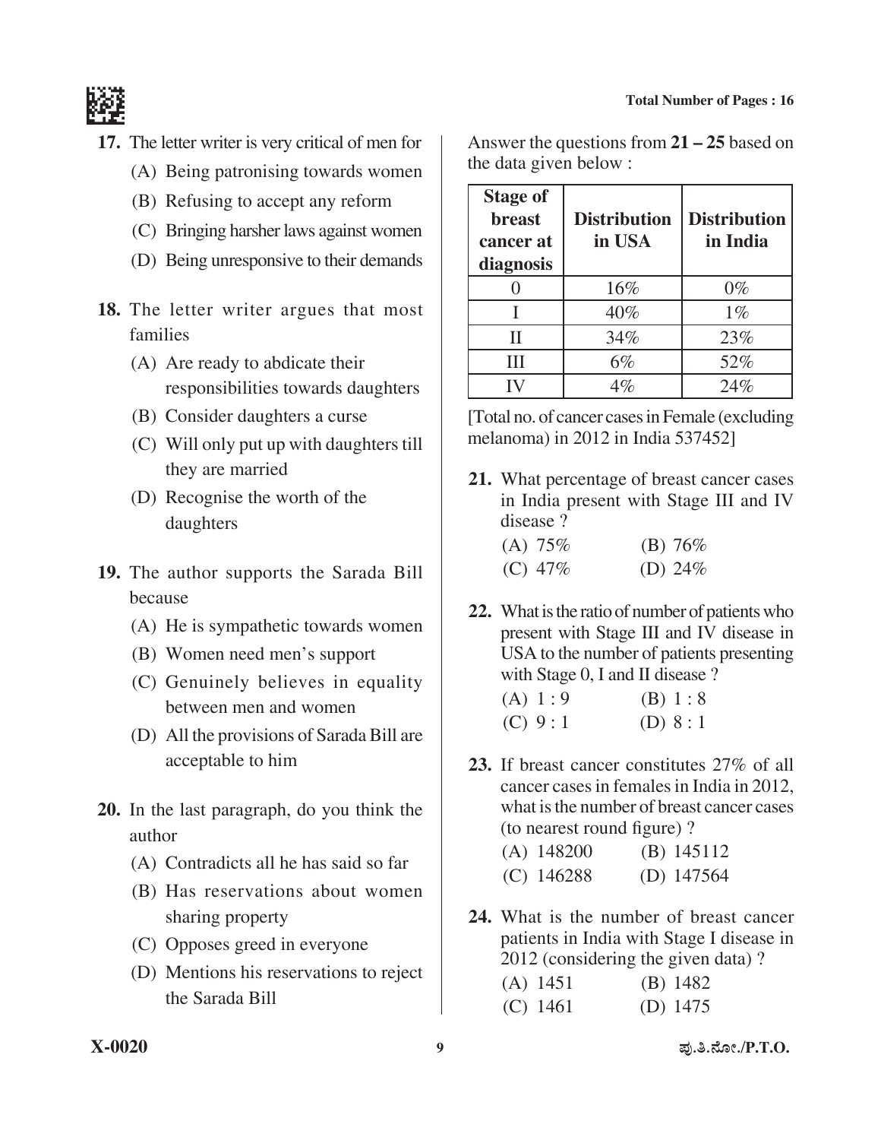

- **17.** The letter writer is very critical of men for
	- (A) Being patronising towards women
	- (B) Refusing to accept any reform
	- (C) Bringing harsher laws against women
	- (D) Being unresponsive to their demands
- 18. The letter writer argues that most families
	- (A) Are ready to abdicate their responsibilities towards daughters
	- (B) Consider daughters a curse
	- $(C)$  Will only put up with daughters till they are married
	- (D) Recognise the worth of the daughters
- **19.** The author supports the Sarada Bill because
	- (A) He is sympathetic towards women
	- (B) Women need men's support
	- (C) Genuinely believes in equality between men and women
	- (D) All the provisions of Sarada Bill are acceptable to him
- **20.** In the last paragraph, do you think the author
	- (A) Contradicts all he has said so far
	- (B) Has reservations about women sharing property
	- (C) Opposes greed in everyone
	- (D) Mentions his reservations to reject the Sarada Bill

Answer the questions from **21 – 25** based on the data given below :

| <b>Stage of</b><br><b>breast</b><br>cancer at<br>diagnosis | <b>Distribution</b><br>in USA | <b>Distribution</b><br>in India |
|------------------------------------------------------------|-------------------------------|---------------------------------|
|                                                            | 16%                           | $0\%$                           |
|                                                            | 40%                           | $1\%$                           |
| H                                                          | 34%                           | 23%                             |
| Ш                                                          | $6\%$                         | 52%                             |
|                                                            | $\it 4\%$                     | 24%                             |

[Total no. of cancer cases in Female (excluding melanoma) in 2012 in India 537452]

**21.** What percentage of breast cancer cases in India present with Stage III and IV disease ?

| (A) $75\%$ | (B) $76%$  |
|------------|------------|
| $(C)$ 47\% | (D) $24\%$ |

**22.** What is the ratio of number of patients who present with Stage III and IV disease in USA to the number of patients presenting with Stage 0, I and II disease ?

| (A) 1:9 | (B) 1:8   |
|---------|-----------|
| (C) 9:1 | (D) $8:1$ |

**23.** If breast cancer constitutes 27% of all cancer cases in females in India in 2012, what is the number of breast cancer cases (to nearest round figure) ?

| (A) 148200   | $(B)$ 145112 |
|--------------|--------------|
| $(C)$ 146288 | (D) $147564$ |

**24.** What is the number of breast cancer patients in India with Stage I disease in 2012 (considering the given data) ?

| $(A)$ 1451 | $(B)$ 1482 |
|------------|------------|
| $(C)$ 1461 | (D) $1475$ |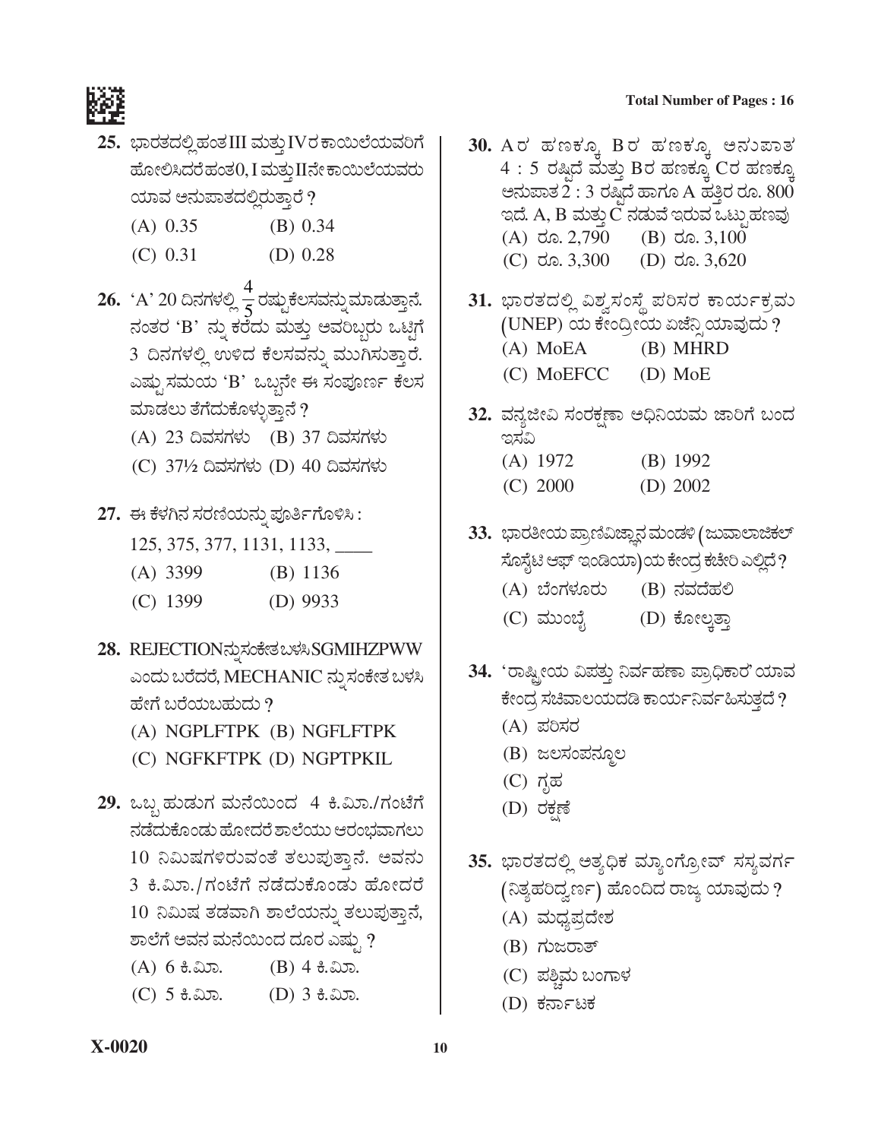#### **Total Number of Pages : 16**



- **25.** *»ÝÃÜñܨÜÈÉ ÖÜíñÜ* III ÊÜáñÜᤠIV*ÃÜ PÝÀáÇæ¿áÊÜÄWæ*   $\vec{a}$ ೋಲಿಸಿದರೆ ಹಂತ $0$ , I ಮತ್ತು IIನೇ ಕಾಯಿಲೆಯವರು ಯಾವ ಅನುಪಾತದಲ್ಲಿರುತ್ತಾರೆ ?
	- (A) 0.35 (B) 0.34
	- $(C)$  0.31 (D) 0.28
- **26.** 'A' 20 ದಿನಗಳಲ್ಲಿ <mark>4</mark> ರಷ್ಟುಕೆಲಸವನ್ನು ಮಾಡುತ್ತಾನೆ.  $\vec{a}$ øär 'B' ನ್ನು ಕರೆದು ಮತ್ತು ಅವರಿಬ್ಗರು ಒಟ್ಟಿಗೆ 3 ದಿನಗಳಲ್ಲಿ ಉಳಿದ ಕೆಲಸವನ್ನು ಮುಗಿಸುತ್ತಾರೆ. *GÐÜár ÓÜÊÜá¿á* 'B' *JŸº®æà D ÓÜí±Üä|ì PæÆÓÜ*  ಮಾಡಲು ತೆಗೆದುಕೊಳ್ಳುತ್ತಾನೆ ?
	- (A) 23 *©ÊÜÓÜWÜÙÜá* (B) 37 *©ÊÜÓÜWÜÙÜá*
	- (C) 37½ *©ÊÜÓÜWÜÙÜá* (D) 40 *©ÊÜÓÜWÜÙÜá*
- **27.** *D PæÙÜX®Ü ÓÜÃÜ~¿á®Üá° ±Üä£ìWæãÚÔ :* 
	- 125, 375, 377, 1131, 1133, \_\_\_\_
	- (A) 3399 (B) 1136
	- (C) 1399 (D) 9933
- **28.** REJECTION*®Üá° ÓÜíPæàñÜ ŸÙÜÔ* SGMIHZPWW ಎಂದು ಬರೆದರೆ, MECHANIC ನ್ನು ಸಂಕೇತ ಬಳಸಿ ಹೇಗೆ ಬರೆಯಬಹುದು ?
	- (A) NGPLFTPK (B) NGFLFTPK
	- (C) NGFKFTPK (D) NGPTPKIL
- **29.** *JŸº ÖÜávÜáWÜ ÊÜá®æÀáí¨Ü* 4 Q.ËáÝ./*WÜípæWæ*  ನಡೆದುಕೊಂಡು ಹೋದರೆ ಶಾಲೆಯು ಆರಂಭವಾಗಲು 10 ನಿಮಿಷಗಳಿರುವಂತೆ ತಲುಪುತ್ತಾನೆ. ಅವನು 3 ಕಿ.ಮಿಾ./ಗಂಟೆಗೆ ನಡೆದುಕೊಂಡು ಹೋದರೆ 10 ನಿಮಿಷ ತಡವಾಗಿ ಶಾಲೆಯನ್ನು ತಲುಪುತ್ತಾನೆ, *ÍÝÇæWæ AÊÜ®Ü ÊÜá®æÀáí¨Ü ¨ÜãÃÜ GÐÜár ?* 
	- $(A)$  6  $\theta$ .  $\infty$ . (B) 4  $\theta$ .  $\infty$ .
	- $(C)$  5  $\frac{4}{5}$ . (D) 3  $\frac{4}{5}$ . (D) 3  $\frac{4}{5}$ .
- 30. A*ರ* ಹಣಕ್ಕೂ Bರ ಹಣಕ್ಕೂ ಅನುಪಾತ  $4:5$  ರಷ್ಣಿದೆ ಮತ್ತು Bರ ಹಣಕ್ಕೂ Cರ ಹಣಕ್ಕೂ  $A$ ಶನುಪಾತ $\tilde{2}$  : 3 ರಷ್ಯದೆ ಹಾಗೂ A ಹತ್ತಿರ ರೂ.  $800$  $\alpha$ ದೆ. A, B ಮತ್ತು $\ddot{\text{C}}$  ನಡುವೆ ಇರುವ ಒಟ್ಪುಹಣವು (A)  $\text{d}$ ã. 2,790 (B)  $\text{d}$ ã. 3,100 (C)  $\text{d}$ ã. 3,300 (D)  $\text{d}$ ã. 3,620
- 31. ಭಾರತದಲ್ಲಿ ವಿಶ್ವಸಂಸ್ಥೆ ಪರಿಸರ ಕಾರ್ಯಕ್ರಮ *(*UNEP) ಯ ಕೇಂದ್ರೀಯ ಏಜೆನ್ಸಿ ಯಾವುದು ? (A) MoEA (B) MHRD (C) MoEFCC (D) MoE
- 32. ವನ್ಯಜೀವಿ ಸಂರಕ್ಷಣಾ ಅಧಿನಿಯಮ ಜಾರಿಗೆ ಬಂದ *CÓÜË*  (A) 1972 (B) 1992 (C) 2000 (D) 2002
- 33. ಭಾರತೀಯ ಪ್ರಾಣಿವಿಜ್ಞಾನ ಮಂಡಳಿ ( ಜುವಾಲಾಜಿಕಲ್ ಸೊಸ್ಟೆಟಿ ಆಫ್ ಇಂಡಿಯಾ)ಯ ಕೇಂದ್ರ ಕಚೇರಿ ಎಲ್ಲಿದೆ ?
	- (A) ಬೆಂಗಳೂರು (B) ನವದೆಹಲಿ
	- (C) ಮುಂಬೈ (D) ಕೋಲ್ಕತ್ತಾ
- 34. *'*ರಾಷ್ಟ್ರೀಯ ವಿಪತ್ತು ನಿರ್ವಹಣಾ ಪ್ರಾಧಿಕಾರ'ಯಾವ ಕೇಂದ್ರ ಸಚಿವಾಲಯದಡಿ ಕಾರ್ಯನಿರ್ವಹಿಸುತ್ತದೆ ?
	- (A) *±ÜÄÓÜÃÜ*
	- (B) ಜಲಸಂಪನ್ಮೂಲ
	- (C) *WÜêÖÜ*
	- (D) *ÃÜPÜÒOæ*
- 35. ಭಾರತದಲ್ಲಿ ಅತ್ಯಧಿಕ ಮ್ಯಾಂಗ್ರೋವ್ ಸಸ್ಯವರ್ಗ *(¯ñÜÂÖÜĨÜÌ|ì) Öæãí©¨Ü ÃÝg ¿ÞÊÜâ¨Üá ?* 
	- (A) *ÊÜá«Ü±ÜŨæàÍÜ*
	- (B) *WÜágÃÝñ…*
	- (C) *±ÜÎcÊÜá ŸíWÝÙÜ*
	- (D) *PÜ®ÝìoPÜ*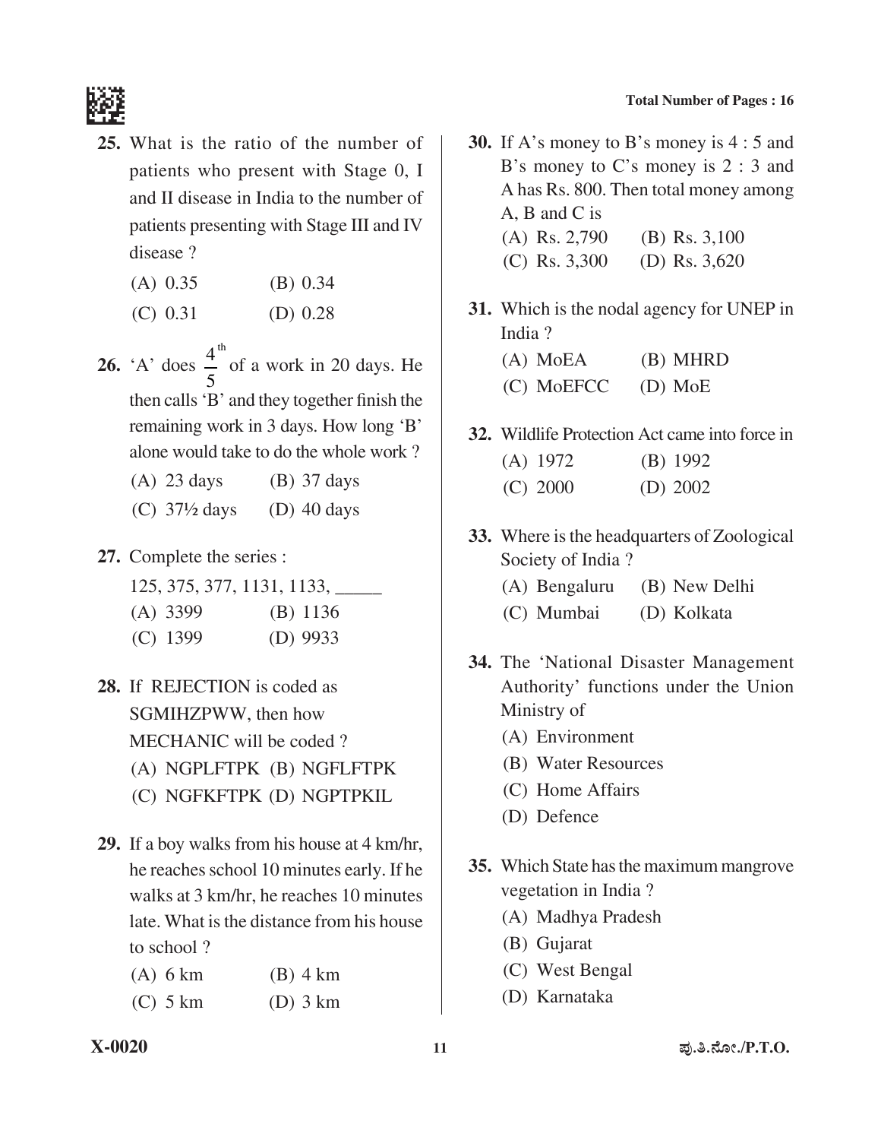

- **25.** What is the ratio of the number of patients who present with Stage 0, I and II disease in India to the number of patients presenting with Stage III and IV disease ?
	- (A) 0.35 (B) 0.34
	- $(C)$  0.31 (D) 0.28
- **26.** 'A' does  $\frac{4}{5}$ <sup>th</sup> 5 of a work in 20 days. He then calls'B' and they together finish the remaining work in 3 days. How long 'B' alone would take to do the whole work ?
	- (A) 23 days (B) 37 days
	- (C)  $37\frac{1}{2}$  days (D) 40 days
- **27.** Complete the series :
	- 125, 375, 377, 1131, 1133, \_\_\_\_\_
	- (A) 3399 (B) 1136
	- (C) 1399 (D) 9933
- **28.** If REJECTION is coded as SGMIHZPWW, then how MECHANIC will be coded ?
	- (A) NGPLFTPK (B) NGFLFTPK
	- (C) NGFKFTPK (D) NGPTPKIL
- **29.** If a boy walks from his house at 4 km/hr, he reaches school 10 minutes early. If he walks at 3 km/hr, he reaches 10 minutes late. What is the distance from his house to school ?

| $(A)$ 6 km | $(B)$ 4 km |
|------------|------------|
| $(C)$ 5 km | $(D)$ 3 km |

- **30.** If A's money to B's money is 4 : 5 and B's money to C's money is 2 : 3 and A has Rs. 800. Then total money among A, B and C is (A) Rs. 2,790 (B) Rs. 3,100 (C) Rs. 3,300 (D) Rs. 3,620
- **31.** Which is the nodal agency for UNEP in India ?
	- (A) MoEA (B) MHRD (C) MoEFCC (D) MoE
- **32.** Wildlife Protection Act came into force in (A) 1972 (B) 1992 (C) 2000 (D) 2002
- **33.** Where is the headquarters of Zoological society of India ?
	- (A) Bengaluru (B) New Delhi
	- (C) Mumbai (D) Kolkata
- **34.** The 'National Disaster Management Authority' functions under the Union Ministry of
	- (A) Environment
	- (B) Water Resources
	- (C) Home Affairs
	- (D) Defence
- **35.** Which State has the maximum mangrove vegetation in India ?
	- (A) Madhya Pradesh
	- (B) Gujarat
	- (C) West Bengal
	- (D) Karnataka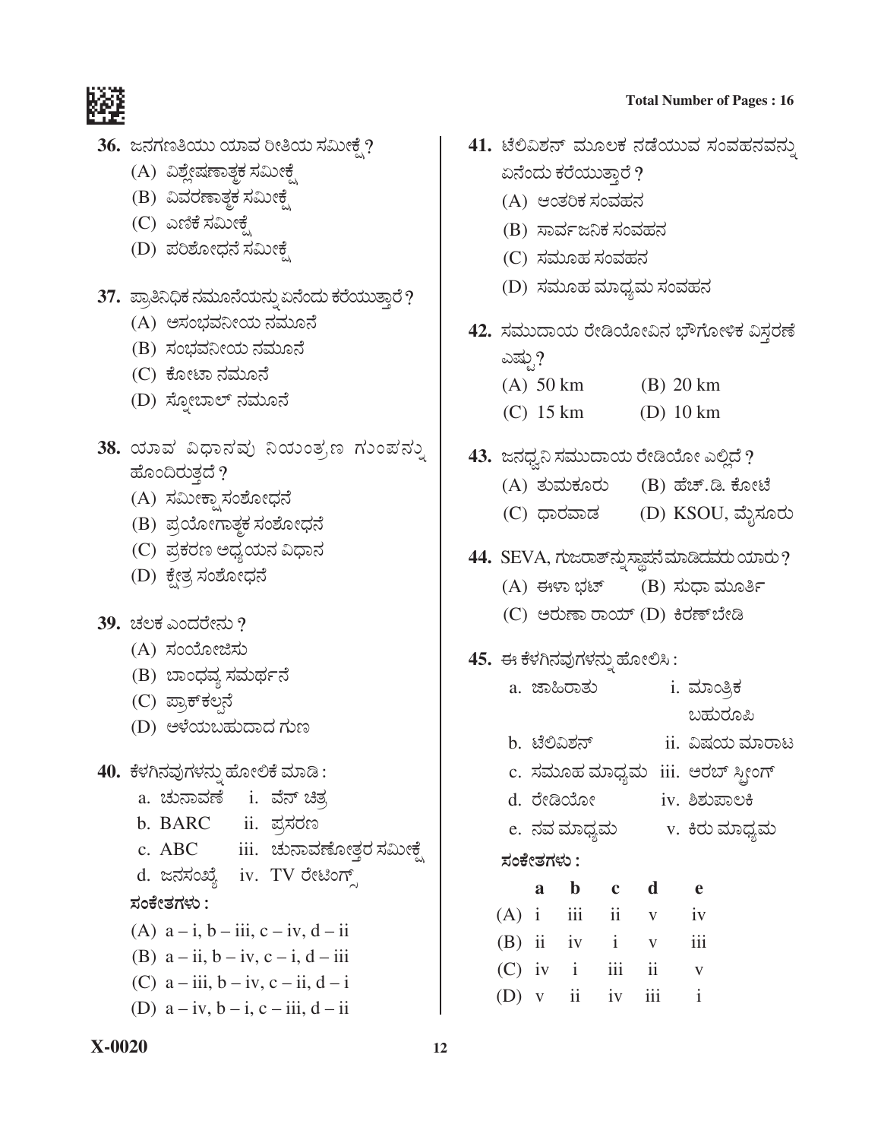

- 36. ಜನಗಣತಿಯು ಯಾವ ರೀತಿಯ ಸಮೀಕ್ಷೆ?
	- (A) ವಿಶ್ಲೇಷಣಾತ್ಮಕ ಸಮೀಕೈ
	- (B) ವಿವರಣಾತ್ತಕ ಸಮೀಕೆ
	- (C) ಎಣಿಕೆ ಸಮೀಕ್ಷೆ
	- (D) ಪರಿಶೋಧನೆ ಸಮೀಕೆ
- 37. ಪ್ರಾತಿನಿಧಿಕ ನಮೂನೆಯನ್ನು ಏನೆಂದು ಕರೆಯುತ್ತಾರೆ?
	- (A) ಅಸಂಭವನೀಯ ನಮೂನೆ
	- (B) ಸಂಭವನೀಯ ನಮೂನೆ
	- (C) ಕೋಟಾ ನಮೂನೆ
	- (D) ಸ್ಫೋಬಾಲ್ ನಮೂನೆ
- 38. ಯಾವ ವಿಧಾನವು ನಿಯಂತ್ರಣ ಗುಂಪನ್ನು ಹೊಂದಿರುತ್ತದೆ ?
	- (A) ಸಮೀಕ್ಷಾಸಂಶೋಧನೆ
	- (B) ಪ್ರಯೋಗಾತ್ತಕ ಸಂಶೋಧನೆ
	- (C) ಪ್ರಕರಣ ಅಧ್ಯಯನ ವಿಧಾನ
	- (D) ಕ್ಷೇತ್ರ ಸಂಶೋಧನೆ
- $39.$  ಚಲಕ ಎಂದರೇನು ?
	- (A) ಸಂಯೋಜಿಸು
	- (B) ಬಾಂಧವ್ಯ ಸಮರ್ಥನೆ
	- (C) ಪ್ರಾಕ್**ಕಲ್ಲನೆ**
	- (D) ಅಳೆಯಬಹುದಾದ ಗುಣ
- 40. ಕೆಳಗಿನವುಗಳನ್ನು ಹೋಲಿಕೆ ಮಾಡಿ:
	- a. ಚುನಾವಣೆ i. ವೆನ್ ಚಿತ್ರ b. BARC ii. ಪ್ರಸರಣ
	- c. ABC iii. ಚುನಾವಣೋತ್ತರ ಸಮೀಕ್ಷೆ d. ಜನಸಂಖ್ಯೆ iv. TV ರೇಟಿಂಗ್ಸ್

#### ಸಂಕೇತಗಳು :

- (A)  $a i$ ,  $b iii$ ,  $c iv$ ,  $d ii$
- (B)  $a ii$ ,  $b iv$ ,  $c i$ ,  $d iii$
- (C)  $a iii$ ,  $b iv$ ,  $c ii$ ,  $d i$
- (D)  $a iv, b i, c iii, d ii$
- **Total Number of Pages: 16**
- 41. ಟೆಲಿವಿಶನ್ ಮೂಲಕ ನಡೆಯುವ ಸಂವಹನವನ್ನು ಏನೆಂದು ಕರೆಯುತ್ತಾರೆ ?
	- (A) ಆಂತರಿಕ ಸಂವಹನ
	- (B) ಸಾರ್ವಜನಿಕ ಸಂವಹನ
	- (C) ಸಮೂಹ ಸಂವಹನ
	- (D) ಸಮೂಹ ಮಾಧ್ಯಮ ಸಂವಹನ
- 42. ಸಮುದಾಯ ರೇಡಿಯೋವಿನ ಭೌಗೋಳಿಕ ವಿಸ್ತರಣೆ
	- ಎಷ್ಟು?  $(A)$  50 km  $(B)$  20 km
	- $(C)$  15 km  $(D)$  10 km
- 43. ಜನಧ್ವನಿ ಸಮುದಾಯ ರೇಡಿಯೋ ಎಲ್ಲಿದೆ ?
	- (A) ತುಮಕೂರು (B) ಹೆಚ್.ಡಿ. ಕೋಟೆ
	- (C) ಧಾರವಾಡ (D) KSOU, ಮೈಸೂರು
- 44. SEVA, ಗುಜರಾತ್ ನ್ನು ಸ್ಥಾಪನೆ ಮಾಡಿದವರು ಯಾರು ?
	- (A) ಈಳಾ ಭಟ್ (B) ಸುಧಾ ಮೂರ್ತಿ
	- (C) ಅರುಣಾ ರಾಯ್ (D) ಕಿರಣ್ ಬೇಡಿ

## 45. ಈ ಕೆಳಗಿನವುಗಳನ್ನು ಹೋಲಿಸಿ:

- a. ಜಾಹಿರಾತು <u>i. ಮಾಂತ್ರಿಕ</u> ಬಹುರೂಪಿ b. ಟೆಲಿವಿಶನ್ <u>ii. ವಿಷಯ ಮಾರಾಟ</u>
- 
- c. ಸಮೂಹ ಮಾಧ್ಯಮ iii. ಅರಬ್ ಸ್ಪೀಂಗ್
- d. ರೇಡಿಯೋ iv. ಶಿಶುಪಾಲಕಿ
- e. ನವ ಮಾಧ್ಯಮ v. ಕಿರು ಮಾಧ್ಯಮ
- ಸಂಕೇತಗಳು :

|  | a b c d           |                     | e            |
|--|-------------------|---------------------|--------------|
|  |                   | $(A)$ i iii ii v    | iv           |
|  |                   | $(B)$ ii iv i v iii |              |
|  | $(C)$ iv i iii ii |                     | $\mathbf{V}$ |
|  |                   | (D) $v$ ii iv iii i |              |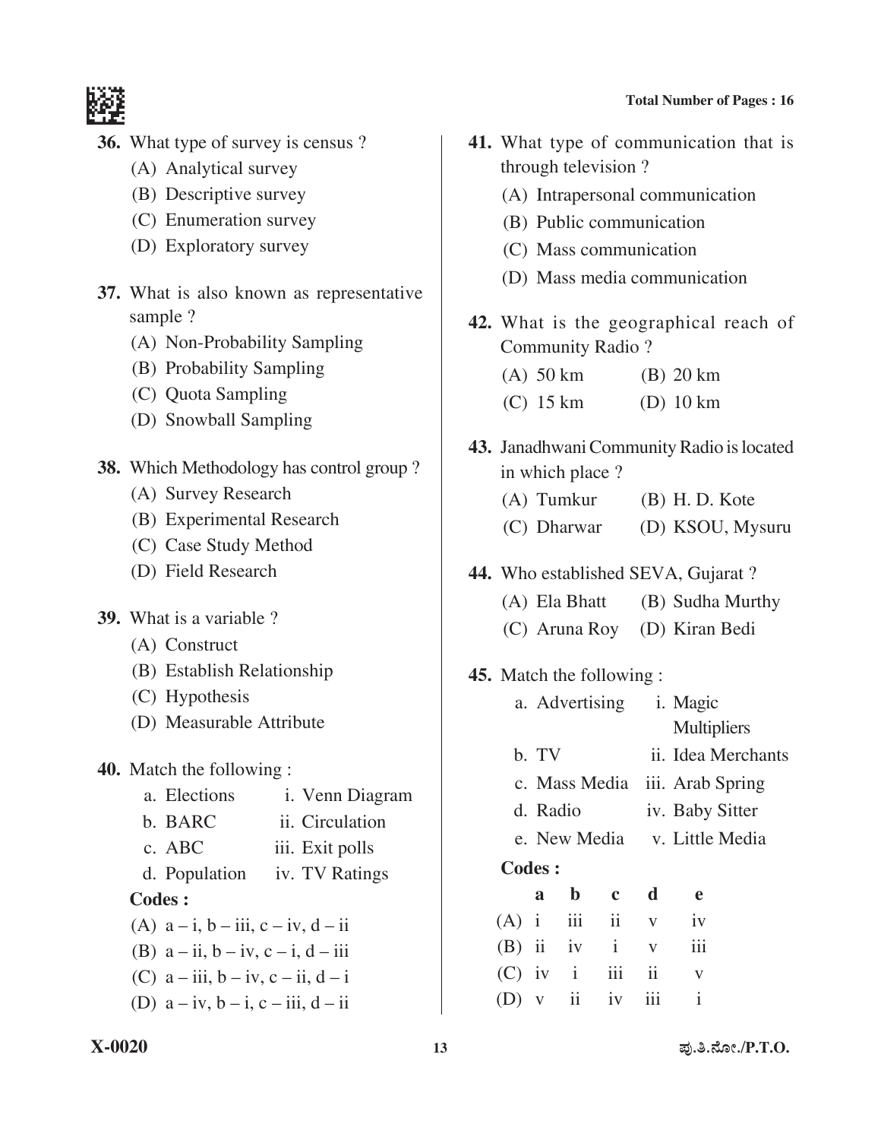- **36.** What type of survey is census ?
	- (A) Analytical survey
	- (B) Descriptive survey
	- (C) Enumeration survey
	- (D) Exploratory survey
- **37.** What is also known as representative sample ?
	- (A) Non-Probability Sampling
	- (B) Probability Sampling
	- (C) Quota Sampling
	- (D) Snowball Sampling
- **38.** Which Methodology has control group ?
	- (A) Survey Research
	- (B) Experimental Research
	- (C) Case Study Method
	- (D) Field Research
- **39.** What is a variable ?
	- (A) Construct
	- (B) Establish Relationship
	- (C) Hypothesis
	- (D) Measurable Attribute
- **40.** Match the following :
	- a. Elections i. Venn Diagram b. BARC ii. Circulation c. ABC iii. Exit polls d. Population iv. TV Ratings **Codes :** (A)  $a - i$ ,  $b - iii$ ,  $c - iv$ ,  $d - ii$ (B)  $a - ii, b - iv, c - i, d - iii$
	- (C)  $a iii$ ,  $b iv$ ,  $c ii$ ,  $d i$
	- (D)  $a iv, b i, c iii, d ii$
- **41.** What type of communication that is through television ?
	- (A) Intrapersonal communication
	- (B) Public communication
	- (C) Mass communication
	- (D) Mass media communication
- **42.** What is the geographical reach of Community Radio ?
	- (A) 50 km (B) 20 km
	- (C) 15 km (D) 10 km
- 43. Janadhwani Community Radio is located in which place ?
	- (A) Tumkur (B) H. D. Kote
	- (C) Dharwar (D) KSOU, Mysuru
- 44. Who established SEVA, Gujarat ?
	- (A) Ela Bhatt (B) Sudha Murthy
	- (C) Aruna Roy (D) Kiran Bedi
- **45.** Match the following :

|             | a. Advertising i. Magic |                         |              |                                |                    |  |  |
|-------------|-------------------------|-------------------------|--------------|--------------------------------|--------------------|--|--|
|             |                         |                         |              |                                | <b>Multipliers</b> |  |  |
|             | b. TV                   |                         |              |                                | ii. Idea Merchants |  |  |
|             |                         |                         |              | c. Mass Media iii. Arab Spring |                    |  |  |
|             | d. Radio                |                         |              | iv. Baby Sitter                |                    |  |  |
|             |                         |                         |              | e. New Media v. Little Media   |                    |  |  |
|             | Codes:                  |                         |              |                                |                    |  |  |
|             | a                       | $\mathbf b$             | $\mathbf c$  | d                              | e                  |  |  |
| $(A)$ i     |                         | iii                     | ii           | $\mathbf V$                    | iv                 |  |  |
| $(B)$ ii iv |                         |                         | $\mathbf{i}$ | V                              | iii                |  |  |
| $(C)$ iv i  |                         |                         | iii          | ii                             | V                  |  |  |
| (D)         | V                       | $\overline{\mathbf{1}}$ | iv           |                                | $\mathbf{i}$       |  |  |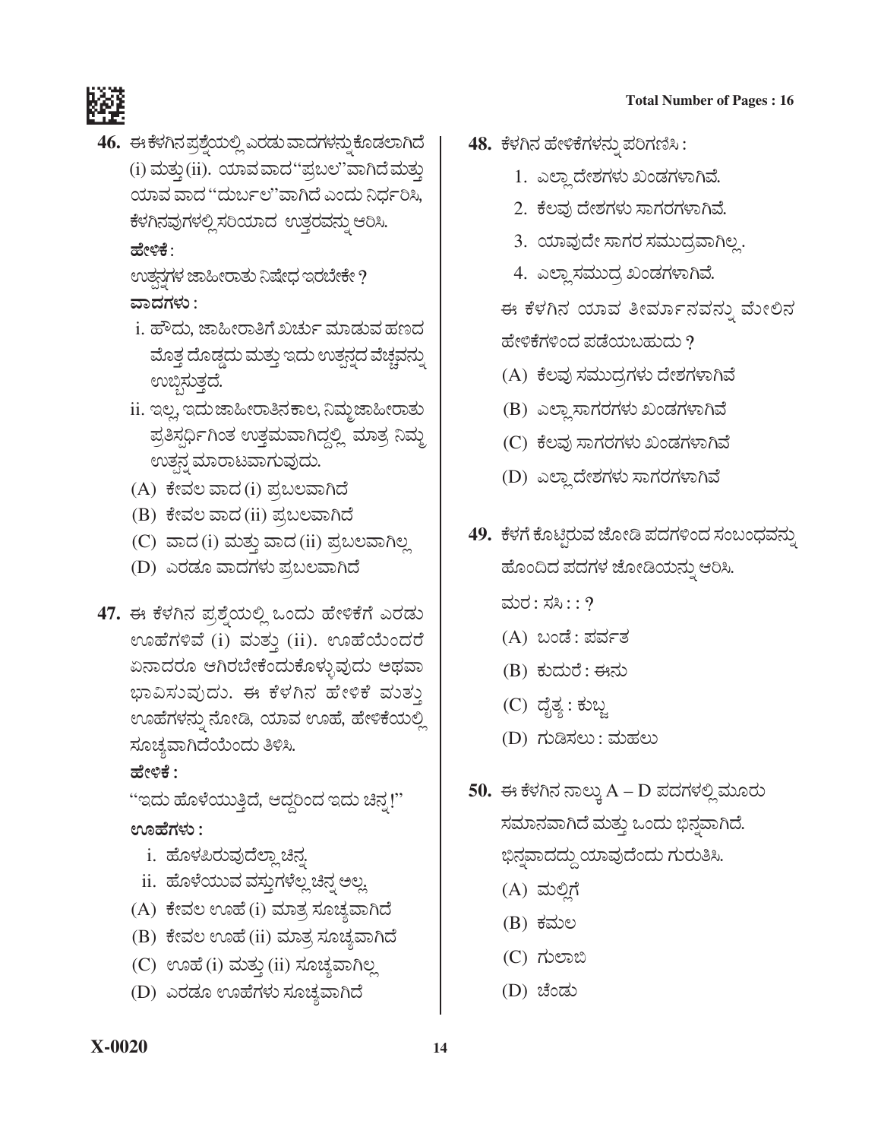#### **Total Number of Pages: 16**



46. ಈ ಕೆಳಗಿನ ಪ್ರಶ್ತೆಯಲ್ಲಿ ಎರಡು ವಾದಗಳನ್ನು ಕೊಡಲಾಗಿದೆ (i) ಮತ್ತು (ii). ಯಾವ ವಾದ "ಪುಬಲ"ವಾಗಿದೆ ಮತ್ತು ಯಾವ ವಾದ ''ದುರ್ಬಲ''ವಾಗಿದೆ ಎಂದು ನಿರ್ಧರಿಸಿ, ಕೆಳಗಿನವುಗಳಲ್ಲಿಸರಿಯಾದ ಉತ್ತರವನ್ನು ಆರಿಸಿ. ಹೇಳಿಕೆ :

ಉತ್ಪನ್ಗಳ ಜಾಹೀರಾತು ನಿಷೇಧ ಇರಬೇಕೇ ? ವಾದಗಳು :

- <u>i. ಹೌದು, ಜಾಹೀರಾತಿಗೆ ಖರ್ಚು ಮಾಡುವ ಹಣದ</u> ಮೊತ್ತ ದೊಡ್ಡದು ಮತ್ತು ಇದು ಉತ್ಪನ್ನದ ವೆಚ್ಚವನ್ನು ಉಬ್ಬಿಸುತ್ತದೆ.
- ii. ಇಲ್ಲ, ಇದು ಜಾಹೀರಾತಿನ ಕಾಲ, ನಿಮ್ಮ ಜಾಹೀರಾತು ಪ್ರತಿಸ್ಪರ್ಧಿಗಿಂತ ಉತ್ತಮವಾಗಿದ್ದಲ್ಲಿ ಮಾತ್ರ ನಿಮ್ಮ ಉತನ್ನ ಮಾರಾಟವಾಗುವುದು.
- (A) ಕೇವಲ ವಾದ (i) ಪ್ರಬಲವಾಗಿದೆ
- (B) ಕೇವಲ ವಾದ (ii) ಪ್ರಬಲವಾಗಿದೆ
- (C) ವಾದ (i) ಮತ್ತು ವಾದ (ii) ಪ್ರಬಲವಾಗಿಲ್ಲ
- (D) ಎರಡೂ ವಾದಗಳು ಪ್ರಬಲವಾಗಿದೆ
- 47. ಈ ಕೆಳಗಿನ ಪ್ರಶ್ನೆಯಲ್ಲಿ ಒಂದು ಹೇಳಿಕೆಗೆ ಎರಡು ಊಹೆಗಳಿವೆ (i) ಮತ್ತು (ii). ಊಹೆಯೆಂದರೆ ಏನಾದರೂ ಆಗಿರಬೇಕೆಂದುಕೊಳ್ಳುವುದು ಅಥವಾ ಭಾವಿಸುವುದು. ಈ ಕೆಳಗಿನ ಹೇಳಿಕೆ ಮುತ್ತು ಊಹೆಗಳನ್ನು ನೋಡಿ, ಯಾವ ಊಹೆ, ಹೇಳಿಕೆಯಲ್ಲಿ ಸೂಚ್ಯವಾಗಿದೆಯೆಂದು ತಿಳಿಸಿ.

ಹೇಳಿಕೆ :

''ಇದು ಹೊಳೆಯುತ್ತಿದೆ, ಆದ್ದರಿಂದ ಇದು ಚಿನ್ನ!'' ಊಹೆಗಳು :

- i. ಹೊಳಪಿರುವುದೆಲ್ಲಾ ಚಿನ್ನ
- ii. ಹೊಳೆಯುವ ವಸ್ತುಗಳೆಲ್ಲ ಚಿನ್ನ ಅಲ್ಲ
- (A) ಕೇವಲ ಊಹೆ (i) ಮಾತ್ರ ಸೂಚ್ಯವಾಗಿದೆ
- (B) ಕೇವಲ ಊಹೆ (ii) ಮಾತ್ರ ಸೂಚ್ಯವಾಗಿದೆ
- (C) ಊಹೆ (i) ಮತ್ತು (ii) ಸೂಚ್ಯವಾಗಿಲ್ಲ
- (D) ಎರಡೂ ಊಹೆಗಳು ಸೂಚ್ಯವಾಗಿದೆ
- 48. ಕೆಳಗಿನ ಹೇಳಿಕೆಗಳನ್ನು ಪರಿಗಣಿಸಿ :
	- 1. ಎಲ್ಲಾ ದೇಶಗಳು ಖಂಡಗಳಾಗಿವೆ.
	- 2. ಕೆಲವು ದೇಶಗಳು ಸಾಗರಗಳಾಗಿವೆ.
	- 3. ಯಾವುದೇ ಸಾಗರ ಸಮುದ್ರವಾಗಿಲ್ಲ.
	- 4. ಎಲ್ಲಾ ಸಮುದ್ರ ಖಂಡಗಳಾಗಿವೆ.

ಈ ಕೆಳಗಿನ ಯಾವ ತೀರ್ಮಾನವನ್ನು ಮೇಲಿನ ಹೇಳಿಕೆಗಳಿಂದ ಪಡೆಯಬಹುದು ?

- (A) ಕೆಲವು ಸಮುದ್ರಗಳು ದೇಶಗಳಾಗಿವೆ
- (B) ಎಲ್ಲಾ ಸಾಗರಗಳು ಖಂಡಗಳಾಗಿವೆ
- (C) ಕೆಲವು ಸಾಗರಗಳು ಖಂಡಗಳಾಗಿವೆ
- (D) ಎಲ್ಲಾ ದೇಶಗಳು ಸಾಗರಗಳಾಗಿವೆ
- 49. ಕೆಳಗೆ ಕೊಟ್ಟಿರುವ ಜೋಡಿ ಪದಗಳಿಂದ ಸಂಬಂಧವನ್ನು ಹೊಂದಿದ ಪದಗಳ ಜೋಡಿಯನ್ನು ಆರಿಸಿ.
	- ಮರ: ಸಸಿ $:$ : ?
	- (A) ಬಂಡೆ: ಪರ್ವತ
	- (B) ಕುದುರೆ: ಈನು
	- (C) ದೈತ್ಯ : ಕುಬ್ಜ
	- (D) ಗುಡಿಸಲು : ಮಹಲು
- 50. ಈ ಕೆಳಗಿನ ನಾಲ್ಕು A D ಪದಗಳಲ್ಲಿ ಮೂರು ಸಮಾನವಾಗಿದೆ ಮತ್ತು ಒಂದು ಭಿನ್ನವಾಗಿದೆ. ಭಿನ್ನವಾದದ್ದು ಯಾವುದೆಂದು ಗುರುತಿಸಿ.
	- (A) ಮಲ್ಲಿಗೆ
	- (B) ಕಮಲ
	- $(C)$  ಗುಲಾಬಿ
	- (D) ಚೆಂಡು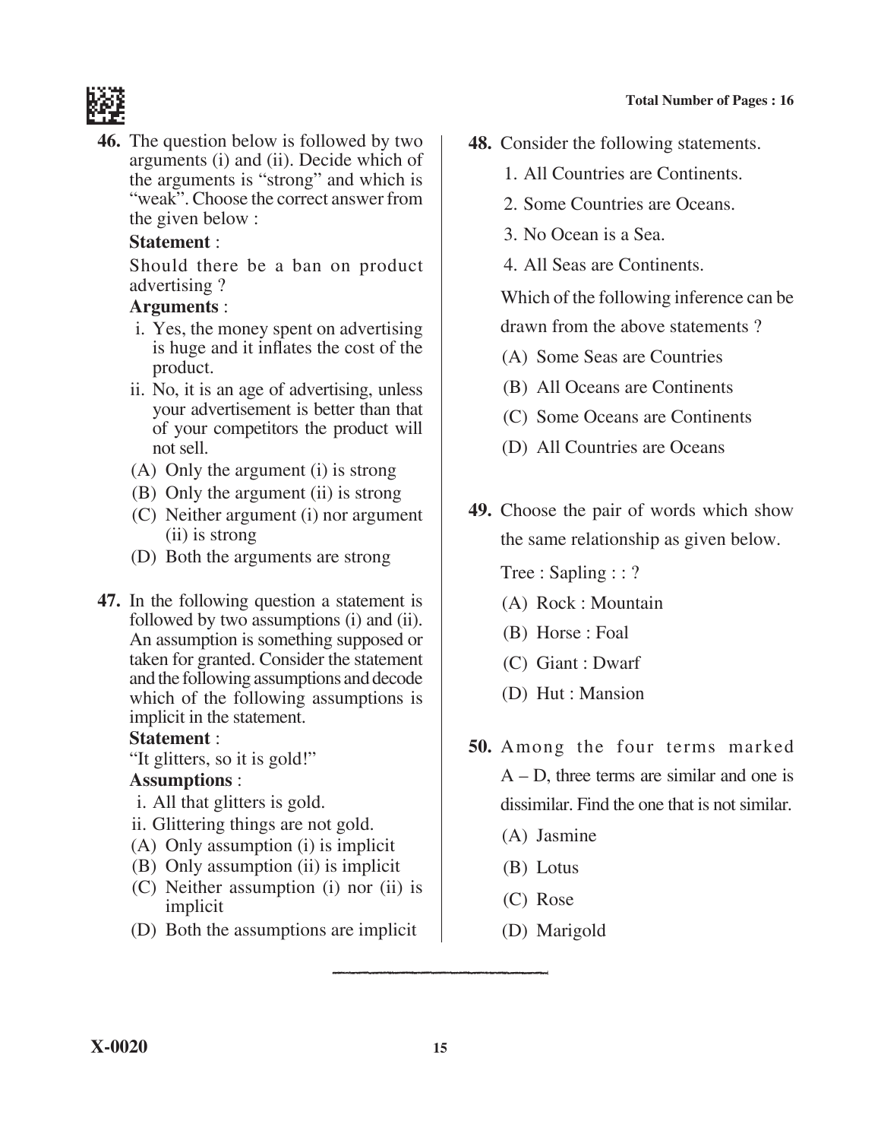

**46.** The question below is followed by two arguments (i) and (ii). Decide which of the arguments is "strong" and which is "weak". Choose the correct answer from the given below :

## **Statement** :

 Should there be a ban on product advertising ?

## **Arguments** :

- i. Yes, the money spent on advertising is huge and it inflates the cost of the product.
- ii. No, it is an age of advertising, unless your advertisement is better than that of your competitors the product will not sell.
- (A) Only the argument (i) is strong
- (B) Only the argument (ii) is strong
- (C) Neither argument (i) nor argument (ii) is strong
- (D) Both the arguments are strong
- **47.** In the following question a statement is followed by two assumptions (i) and (ii). An assumption is something supposed or taken for granted. Consider the statement and the following assumptions and decode which of the following assumptions is implicit in the statement.

#### **Statement** :

"It glitters, so it is gold!"

#### **Assumptions** :

- i. All that glitters is gold.
- ii. Glittering things are not gold.
- (A) Only assumption (i) is implicit
- (B) Only assumption (ii) is implicit
- (C) Neither assumption (i) nor (ii) is implicit
- (D) Both the assumptions are implicit
- **48.** Consider the following statements.
	- 1. All countries are Continents.
	- 2. Some countries are Oceans.
	- 3. No Ocean is a Sea.
	- 4. All Seas are Continents.

 Which of the following inference can be drawn from the above statements ?

- (A) Some Seas are Countries
- (B) All Oceans are Continents
- (C) Some Oceans are Continents
- (D) All Countries are Oceans
- **49.** Choose the pair of words which show the same relationship as given below.

Tree : Sapling : : ?

- (A) Rock : Mountain
- (B) Horse : Foal
- (C) Giant : Dwarf
- (D) Hut : Mansion
- **50.** Among the four terms marked A – D, three terms are similar and one is dissimilar. Find the one that is not similar.
	- (A) Jasmine
	- (B) Lotus
	- (C) Rose
	- (D) Marigold